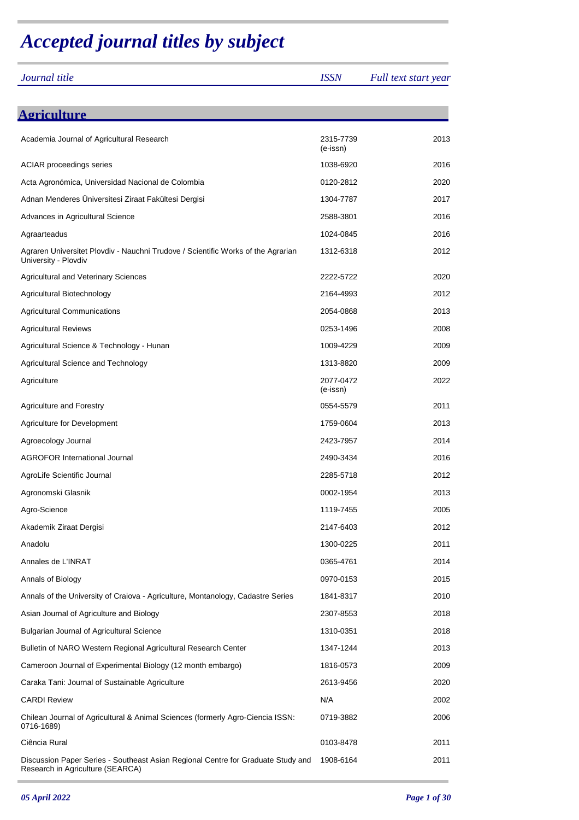## *Accepted journal titles by subject*

| Journal title                                                                                                        | <b>ISSN</b>           | Full text start year |
|----------------------------------------------------------------------------------------------------------------------|-----------------------|----------------------|
|                                                                                                                      |                       |                      |
| <b>Agriculture</b>                                                                                                   |                       |                      |
| Academia Journal of Agricultural Research                                                                            | 2315-7739<br>(e-issn) | 2013                 |
| <b>ACIAR</b> proceedings series                                                                                      | 1038-6920             | 2016                 |
| Acta Agronómica, Universidad Nacional de Colombia                                                                    | 0120-2812             | 2020                 |
| Adnan Menderes Üniversitesi Ziraat Fakültesi Dergisi                                                                 | 1304-7787             | 2017                 |
| Advances in Agricultural Science                                                                                     | 2588-3801             | 2016                 |
| Agraarteadus                                                                                                         | 1024-0845             | 2016                 |
| Agraren Universitet Plovdiv - Nauchni Trudove / Scientific Works of the Agrarian<br>University - Plovdiv             | 1312-6318             | 2012                 |
| <b>Agricultural and Veterinary Sciences</b>                                                                          | 2222-5722             | 2020                 |
| Agricultural Biotechnology                                                                                           | 2164-4993             | 2012                 |
| <b>Agricultural Communications</b>                                                                                   | 2054-0868             | 2013                 |
| <b>Agricultural Reviews</b>                                                                                          | 0253-1496             | 2008                 |
| Agricultural Science & Technology - Hunan                                                                            | 1009-4229             | 2009                 |
| Agricultural Science and Technology                                                                                  | 1313-8820             | 2009                 |
| Agriculture                                                                                                          | 2077-0472<br>(e-issn) | 2022                 |
| <b>Agriculture and Forestry</b>                                                                                      | 0554-5579             | 2011                 |
| Agriculture for Development                                                                                          | 1759-0604             | 2013                 |
| Agroecology Journal                                                                                                  | 2423-7957             | 2014                 |
| <b>AGROFOR International Journal</b>                                                                                 | 2490-3434             | 2016                 |
| AgroLife Scientific Journal                                                                                          | 2285-5718             | 2012                 |
| Agronomski Glasnik                                                                                                   | 0002-1954             | 2013                 |
| Agro-Science                                                                                                         | 1119-7455             | 2005                 |
| Akademik Ziraat Dergisi                                                                                              | 2147-6403             | 2012                 |
| Anadolu                                                                                                              | 1300-0225             | 2011                 |
| Annales de L'INRAT                                                                                                   | 0365-4761             | 2014                 |
| Annals of Biology                                                                                                    | 0970-0153             | 2015                 |
| Annals of the University of Craiova - Agriculture, Montanology, Cadastre Series                                      | 1841-8317             | 2010                 |
| Asian Journal of Agriculture and Biology                                                                             | 2307-8553             | 2018                 |
| <b>Bulgarian Journal of Agricultural Science</b>                                                                     | 1310-0351             | 2018                 |
| Bulletin of NARO Western Regional Agricultural Research Center                                                       | 1347-1244             | 2013                 |
| Cameroon Journal of Experimental Biology (12 month embargo)                                                          | 1816-0573             | 2009                 |
| Caraka Tani: Journal of Sustainable Agriculture                                                                      | 2613-9456             | 2020                 |
| <b>CARDI Review</b>                                                                                                  | N/A                   | 2002                 |
| Chilean Journal of Agricultural & Animal Sciences (formerly Agro-Ciencia ISSN:<br>0716-1689)                         | 0719-3882             | 2006                 |
| Ciência Rural                                                                                                        | 0103-8478             | 2011                 |
| Discussion Paper Series - Southeast Asian Regional Centre for Graduate Study and<br>Research in Agriculture (SEARCA) | 1908-6164             | 2011                 |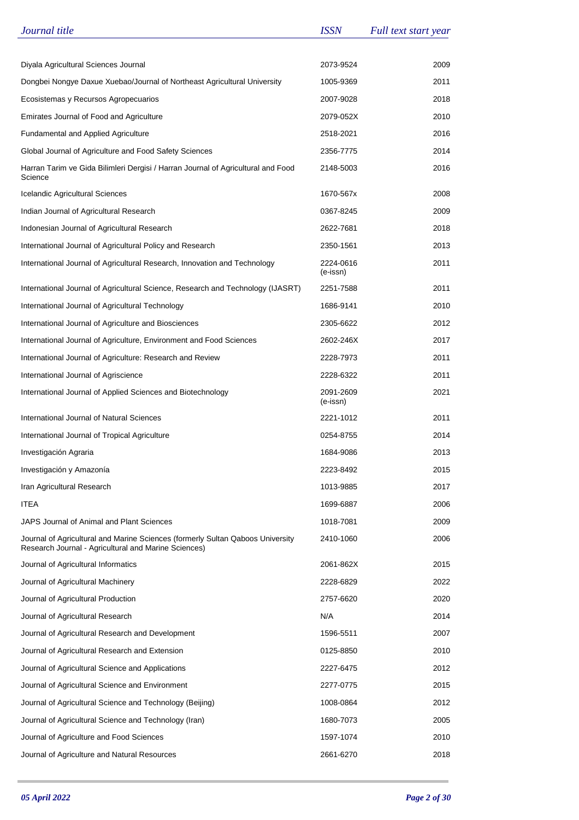| Journal title                                                                                                                          | <b>ISSN</b>           | Full text start year |
|----------------------------------------------------------------------------------------------------------------------------------------|-----------------------|----------------------|
|                                                                                                                                        |                       |                      |
| Diyala Agricultural Sciences Journal                                                                                                   | 2073-9524             | 2009                 |
| Dongbei Nongye Daxue Xuebao/Journal of Northeast Agricultural University                                                               | 1005-9369             | 2011                 |
| Ecosistemas y Recursos Agropecuarios                                                                                                   | 2007-9028             | 2018                 |
| Emirates Journal of Food and Agriculture                                                                                               | 2079-052X             | 2010                 |
| <b>Fundamental and Applied Agriculture</b>                                                                                             | 2518-2021             | 2016                 |
| Global Journal of Agriculture and Food Safety Sciences                                                                                 | 2356-7775             | 2014                 |
| Harran Tarim ve Gida Bilimleri Dergisi / Harran Journal of Agricultural and Food<br>Science                                            | 2148-5003             | 2016                 |
| Icelandic Agricultural Sciences                                                                                                        | 1670-567x             | 2008                 |
| Indian Journal of Agricultural Research                                                                                                | 0367-8245             | 2009                 |
| Indonesian Journal of Agricultural Research                                                                                            | 2622-7681             | 2018                 |
| International Journal of Agricultural Policy and Research                                                                              | 2350-1561             | 2013                 |
| International Journal of Agricultural Research, Innovation and Technology                                                              | 2224-0616<br>(e-issn) | 2011                 |
| International Journal of Agricultural Science, Research and Technology (IJASRT)                                                        | 2251-7588             | 2011                 |
| International Journal of Agricultural Technology                                                                                       | 1686-9141             | 2010                 |
| International Journal of Agriculture and Biosciences                                                                                   | 2305-6622             | 2012                 |
| International Journal of Agriculture, Environment and Food Sciences                                                                    | 2602-246X             | 2017                 |
| International Journal of Agriculture: Research and Review                                                                              | 2228-7973             | 2011                 |
| International Journal of Agriscience                                                                                                   | 2228-6322             | 2011                 |
| International Journal of Applied Sciences and Biotechnology                                                                            | 2091-2609<br>(e-issn) | 2021                 |
| International Journal of Natural Sciences                                                                                              | 2221-1012             | 2011                 |
| International Journal of Tropical Agriculture                                                                                          | 0254-8755             | 2014                 |
| Investigación Agraria                                                                                                                  | 1684-9086             | 2013                 |
| Investigación y Amazonía                                                                                                               | 2223-8492             | 2015                 |
| Iran Agricultural Research                                                                                                             | 1013-9885             | 2017                 |
| ITEA                                                                                                                                   | 1699-6887             | 2006                 |
| JAPS Journal of Animal and Plant Sciences                                                                                              | 1018-7081             | 2009                 |
| Journal of Agricultural and Marine Sciences (formerly Sultan Qaboos University<br>Research Journal - Agricultural and Marine Sciences) | 2410-1060             | 2006                 |
| Journal of Agricultural Informatics                                                                                                    | 2061-862X             | 2015                 |
| Journal of Agricultural Machinery                                                                                                      | 2228-6829             | 2022                 |
| Journal of Agricultural Production                                                                                                     | 2757-6620             | 2020                 |
| Journal of Agricultural Research                                                                                                       | N/A                   | 2014                 |
| Journal of Agricultural Research and Development                                                                                       | 1596-5511             | 2007                 |
| Journal of Agricultural Research and Extension                                                                                         | 0125-8850             | 2010                 |
| Journal of Agricultural Science and Applications                                                                                       | 2227-6475             | 2012                 |
| Journal of Agricultural Science and Environment                                                                                        | 2277-0775             | 2015                 |
| Journal of Agricultural Science and Technology (Beijing)                                                                               | 1008-0864             | 2012                 |
| Journal of Agricultural Science and Technology (Iran)                                                                                  | 1680-7073             | 2005                 |
| Journal of Agriculture and Food Sciences                                                                                               | 1597-1074             | 2010                 |
| Journal of Agriculture and Natural Resources                                                                                           | 2661-6270             | 2018                 |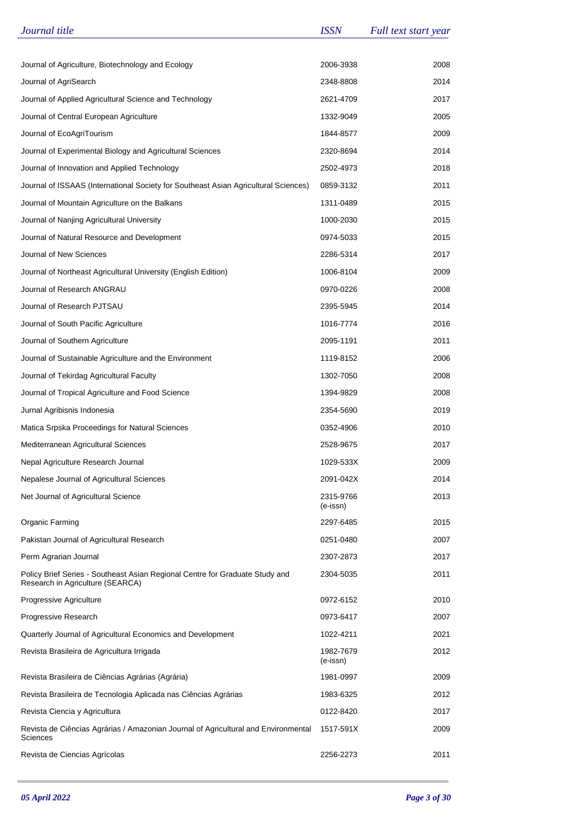| Journal title                                                                                                    | <b>ISSN</b>           | Full text start year |
|------------------------------------------------------------------------------------------------------------------|-----------------------|----------------------|
|                                                                                                                  |                       |                      |
| Journal of Agriculture, Biotechnology and Ecology                                                                | 2006-3938             | 2008                 |
| Journal of AgriSearch                                                                                            | 2348-8808             | 2014                 |
| Journal of Applied Agricultural Science and Technology                                                           | 2621-4709             | 2017                 |
| Journal of Central European Agriculture                                                                          | 1332-9049             | 2005                 |
| Journal of EcoAgriTourism                                                                                        | 1844-8577             | 2009                 |
| Journal of Experimental Biology and Agricultural Sciences                                                        | 2320-8694             | 2014                 |
| Journal of Innovation and Applied Technology                                                                     | 2502-4973             | 2018                 |
| Journal of ISSAAS (International Society for Southeast Asian Agricultural Sciences)                              | 0859-3132             | 2011                 |
| Journal of Mountain Agriculture on the Balkans                                                                   | 1311-0489             | 2015                 |
| Journal of Nanjing Agricultural University                                                                       | 1000-2030             | 2015                 |
| Journal of Natural Resource and Development                                                                      | 0974-5033             | 2015                 |
| Journal of New Sciences                                                                                          | 2286-5314             | 2017                 |
| Journal of Northeast Agricultural University (English Edition)                                                   | 1006-8104             | 2009                 |
| Journal of Research ANGRAU                                                                                       | 0970-0226             | 2008                 |
| Journal of Research PJTSAU                                                                                       | 2395-5945             | 2014                 |
| Journal of South Pacific Agriculture                                                                             | 1016-7774             | 2016                 |
| Journal of Southern Agriculture                                                                                  | 2095-1191             | 2011                 |
| Journal of Sustainable Agriculture and the Environment                                                           | 1119-8152             | 2006                 |
| Journal of Tekirdag Agricultural Faculty                                                                         | 1302-7050             | 2008                 |
| Journal of Tropical Agriculture and Food Science                                                                 | 1394-9829             | 2008                 |
| Jurnal Agribisnis Indonesia                                                                                      | 2354-5690             | 2019                 |
| Matica Srpska Proceedings for Natural Sciences                                                                   | 0352-4906             | 2010                 |
| Mediterranean Agricultural Sciences                                                                              | 2528-9675             | 2017                 |
| Nepal Agriculture Research Journal                                                                               | 1029-533X             | 2009                 |
| Nepalese Journal of Agricultural Sciences                                                                        | 2091-042X             | 2014                 |
| Net Journal of Agricultural Science                                                                              | 2315-9766<br>(e-issn) | 2013                 |
| Organic Farming                                                                                                  | 2297-6485             | 2015                 |
| Pakistan Journal of Agricultural Research                                                                        | 0251-0480             | 2007                 |
| Perm Agrarian Journal                                                                                            | 2307-2873             | 2017                 |
| Policy Brief Series - Southeast Asian Regional Centre for Graduate Study and<br>Research in Agriculture (SEARCA) | 2304-5035             | 2011                 |
| Progressive Agriculture                                                                                          | 0972-6152             | 2010                 |
| Progressive Research                                                                                             | 0973-6417             | 2007                 |
| Quarterly Journal of Agricultural Economics and Development                                                      | 1022-4211             | 2021                 |
| Revista Brasileira de Agricultura Irrigada                                                                       | 1982-7679<br>(e-issn) | 2012                 |
| Revista Brasileira de Ciências Agrárias (Agrária)                                                                | 1981-0997             | 2009                 |
| Revista Brasileira de Tecnologia Aplicada nas Ciências Agrárias                                                  | 1983-6325             | 2012                 |
| Revista Ciencia y Agricultura                                                                                    | 0122-8420             | 2017                 |
| Revista de Ciências Agrárias / Amazonian Journal of Agricultural and Environmental<br>Sciences                   | 1517-591X             | 2009                 |
| Revista de Ciencias Agrícolas                                                                                    | 2256-2273             | 2011                 |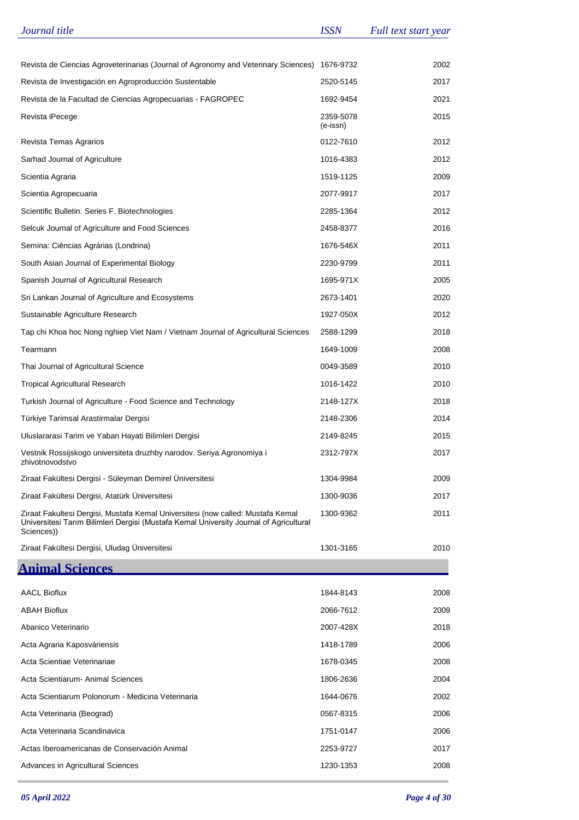| Revista de Ciencias Agroveterinarias (Journal of Agronomy and Veterinary Sciences)<br>1676-9732<br>2002<br>Revista de Investigación en Agroproducción Sustentable<br>2520-5145<br>2017<br>Revista de la Facultad de Ciencias Agropecuarias - FAGROPEC<br>1692-9454<br>2021<br>2015<br>Revista iPecege<br>2359-5078<br>(e-issn)<br>Revista Temas Agrarios<br>0122-7610<br>2012<br>Sarhad Journal of Agriculture<br>1016-4383<br>2012<br>1519-1125<br>2009<br>Scientia Agraria<br>Scientia Agropecuaria<br>2077-9917<br>2017<br>2012<br>Scientific Bulletin. Series F. Biotechnologies<br>2285-1364<br>2016<br>Selcuk Journal of Agriculture and Food Sciences<br>2458-8377<br>1676-546X<br>2011<br>Semina: Ciências Agrárias (Londrina)<br>South Asian Journal of Experimental Biology<br>2230-9799<br>2011<br>Spanish Journal of Agricultural Research<br>1695-971X<br>2005<br>Sri Lankan Journal of Agriculture and Ecosystems<br>2673-1401<br>2020<br>2012<br>Sustainable Agriculture Research<br>1927-050X<br>Tap chi Khoa hoc Nong nghiep Viet Nam / Vietnam Journal of Agricultural Sciences<br>2588-1299<br>2018<br>Tearmann<br>2008<br>1649-1009<br>Thai Journal of Agricultural Science<br>0049-3589<br>2010<br>2010<br><b>Tropical Agricultural Research</b><br>1016-1422<br>Turkish Journal of Agriculture - Food Science and Technology<br>2148-127X<br>2018<br>2014<br>Türkiye Tarimsal Arastirmalar Dergisi<br>2148-2306<br>2015<br>Uluslararasi Tarim ve Yaban Hayati Bilimleri Dergisi<br>2149-8245<br>Vestnik Rossijskogo universiteta druzhby narodov. Seriya Agronomiya i<br>2312-797X<br>2017<br>zhivotnovodstvo<br>Ziraat Fakültesi Dergisi - Süleyman Demirel Üniversitesi<br>1304-9984<br>2009<br>Ziraat Fakültesi Dergisi, Atatürk Üniversitesi<br>2017<br>1300-9036<br>Ziraat Fakultesi Dergisi, Mustafa Kemal Universitesi (now called: Mustafa Kemal<br>1300-9362<br>2011<br>Universitesi Tarım Bilimleri Dergisi (Mustafa Kemal University Journal of Agricultural<br>Sciences))<br>Ziraat Fakültesi Dergisi, Uludag Universitesi<br>1301-3165<br>2010<br><b>Animal Sciences</b><br><b>AACL Bioflux</b><br>1844-8143<br>2008<br><b>ABAH Bioflux</b><br>2066-7612<br>2009<br>Abanico Veterinario<br>2007-428X<br>2018<br>Acta Agraria Kaposváriensis<br>1418-1789<br>2006<br>Acta Scientiae Veterinariae<br>1678-0345<br>2008<br>Acta Scientiarum - Animal Sciences<br>1806-2636<br>2004<br>Acta Scientiarum Polonorum - Medicina Veterinaria<br>1644-0676<br>2002<br>Acta Veterinaria (Beograd)<br>0567-8315<br>2006<br>Acta Veterinaria Scandinavica<br>1751-0147<br>2006<br>Actas Iberoamericanas de Conservación Animal<br>2253-9727<br>2017<br>Advances in Agricultural Sciences<br>1230-1353<br>2008 | Journal title | <b>ISSN</b> | Full text start year |
|--------------------------------------------------------------------------------------------------------------------------------------------------------------------------------------------------------------------------------------------------------------------------------------------------------------------------------------------------------------------------------------------------------------------------------------------------------------------------------------------------------------------------------------------------------------------------------------------------------------------------------------------------------------------------------------------------------------------------------------------------------------------------------------------------------------------------------------------------------------------------------------------------------------------------------------------------------------------------------------------------------------------------------------------------------------------------------------------------------------------------------------------------------------------------------------------------------------------------------------------------------------------------------------------------------------------------------------------------------------------------------------------------------------------------------------------------------------------------------------------------------------------------------------------------------------------------------------------------------------------------------------------------------------------------------------------------------------------------------------------------------------------------------------------------------------------------------------------------------------------------------------------------------------------------------------------------------------------------------------------------------------------------------------------------------------------------------------------------------------------------------------------------------------------------------------------------------------------------------------------------------------------------------------------------------------------------------------------------------------------------------------------------------------------------------------------------------------------------------------------------------------------------------------------------------------------------------------------------------------------------------------------------------------------------------------------------------------------------------------|---------------|-------------|----------------------|
|                                                                                                                                                                                                                                                                                                                                                                                                                                                                                                                                                                                                                                                                                                                                                                                                                                                                                                                                                                                                                                                                                                                                                                                                                                                                                                                                                                                                                                                                                                                                                                                                                                                                                                                                                                                                                                                                                                                                                                                                                                                                                                                                                                                                                                                                                                                                                                                                                                                                                                                                                                                                                                                                                                                                      |               |             |                      |
|                                                                                                                                                                                                                                                                                                                                                                                                                                                                                                                                                                                                                                                                                                                                                                                                                                                                                                                                                                                                                                                                                                                                                                                                                                                                                                                                                                                                                                                                                                                                                                                                                                                                                                                                                                                                                                                                                                                                                                                                                                                                                                                                                                                                                                                                                                                                                                                                                                                                                                                                                                                                                                                                                                                                      |               |             |                      |
|                                                                                                                                                                                                                                                                                                                                                                                                                                                                                                                                                                                                                                                                                                                                                                                                                                                                                                                                                                                                                                                                                                                                                                                                                                                                                                                                                                                                                                                                                                                                                                                                                                                                                                                                                                                                                                                                                                                                                                                                                                                                                                                                                                                                                                                                                                                                                                                                                                                                                                                                                                                                                                                                                                                                      |               |             |                      |
|                                                                                                                                                                                                                                                                                                                                                                                                                                                                                                                                                                                                                                                                                                                                                                                                                                                                                                                                                                                                                                                                                                                                                                                                                                                                                                                                                                                                                                                                                                                                                                                                                                                                                                                                                                                                                                                                                                                                                                                                                                                                                                                                                                                                                                                                                                                                                                                                                                                                                                                                                                                                                                                                                                                                      |               |             |                      |
|                                                                                                                                                                                                                                                                                                                                                                                                                                                                                                                                                                                                                                                                                                                                                                                                                                                                                                                                                                                                                                                                                                                                                                                                                                                                                                                                                                                                                                                                                                                                                                                                                                                                                                                                                                                                                                                                                                                                                                                                                                                                                                                                                                                                                                                                                                                                                                                                                                                                                                                                                                                                                                                                                                                                      |               |             |                      |
|                                                                                                                                                                                                                                                                                                                                                                                                                                                                                                                                                                                                                                                                                                                                                                                                                                                                                                                                                                                                                                                                                                                                                                                                                                                                                                                                                                                                                                                                                                                                                                                                                                                                                                                                                                                                                                                                                                                                                                                                                                                                                                                                                                                                                                                                                                                                                                                                                                                                                                                                                                                                                                                                                                                                      |               |             |                      |
|                                                                                                                                                                                                                                                                                                                                                                                                                                                                                                                                                                                                                                                                                                                                                                                                                                                                                                                                                                                                                                                                                                                                                                                                                                                                                                                                                                                                                                                                                                                                                                                                                                                                                                                                                                                                                                                                                                                                                                                                                                                                                                                                                                                                                                                                                                                                                                                                                                                                                                                                                                                                                                                                                                                                      |               |             |                      |
|                                                                                                                                                                                                                                                                                                                                                                                                                                                                                                                                                                                                                                                                                                                                                                                                                                                                                                                                                                                                                                                                                                                                                                                                                                                                                                                                                                                                                                                                                                                                                                                                                                                                                                                                                                                                                                                                                                                                                                                                                                                                                                                                                                                                                                                                                                                                                                                                                                                                                                                                                                                                                                                                                                                                      |               |             |                      |
|                                                                                                                                                                                                                                                                                                                                                                                                                                                                                                                                                                                                                                                                                                                                                                                                                                                                                                                                                                                                                                                                                                                                                                                                                                                                                                                                                                                                                                                                                                                                                                                                                                                                                                                                                                                                                                                                                                                                                                                                                                                                                                                                                                                                                                                                                                                                                                                                                                                                                                                                                                                                                                                                                                                                      |               |             |                      |
|                                                                                                                                                                                                                                                                                                                                                                                                                                                                                                                                                                                                                                                                                                                                                                                                                                                                                                                                                                                                                                                                                                                                                                                                                                                                                                                                                                                                                                                                                                                                                                                                                                                                                                                                                                                                                                                                                                                                                                                                                                                                                                                                                                                                                                                                                                                                                                                                                                                                                                                                                                                                                                                                                                                                      |               |             |                      |
|                                                                                                                                                                                                                                                                                                                                                                                                                                                                                                                                                                                                                                                                                                                                                                                                                                                                                                                                                                                                                                                                                                                                                                                                                                                                                                                                                                                                                                                                                                                                                                                                                                                                                                                                                                                                                                                                                                                                                                                                                                                                                                                                                                                                                                                                                                                                                                                                                                                                                                                                                                                                                                                                                                                                      |               |             |                      |
|                                                                                                                                                                                                                                                                                                                                                                                                                                                                                                                                                                                                                                                                                                                                                                                                                                                                                                                                                                                                                                                                                                                                                                                                                                                                                                                                                                                                                                                                                                                                                                                                                                                                                                                                                                                                                                                                                                                                                                                                                                                                                                                                                                                                                                                                                                                                                                                                                                                                                                                                                                                                                                                                                                                                      |               |             |                      |
|                                                                                                                                                                                                                                                                                                                                                                                                                                                                                                                                                                                                                                                                                                                                                                                                                                                                                                                                                                                                                                                                                                                                                                                                                                                                                                                                                                                                                                                                                                                                                                                                                                                                                                                                                                                                                                                                                                                                                                                                                                                                                                                                                                                                                                                                                                                                                                                                                                                                                                                                                                                                                                                                                                                                      |               |             |                      |
|                                                                                                                                                                                                                                                                                                                                                                                                                                                                                                                                                                                                                                                                                                                                                                                                                                                                                                                                                                                                                                                                                                                                                                                                                                                                                                                                                                                                                                                                                                                                                                                                                                                                                                                                                                                                                                                                                                                                                                                                                                                                                                                                                                                                                                                                                                                                                                                                                                                                                                                                                                                                                                                                                                                                      |               |             |                      |
|                                                                                                                                                                                                                                                                                                                                                                                                                                                                                                                                                                                                                                                                                                                                                                                                                                                                                                                                                                                                                                                                                                                                                                                                                                                                                                                                                                                                                                                                                                                                                                                                                                                                                                                                                                                                                                                                                                                                                                                                                                                                                                                                                                                                                                                                                                                                                                                                                                                                                                                                                                                                                                                                                                                                      |               |             |                      |
|                                                                                                                                                                                                                                                                                                                                                                                                                                                                                                                                                                                                                                                                                                                                                                                                                                                                                                                                                                                                                                                                                                                                                                                                                                                                                                                                                                                                                                                                                                                                                                                                                                                                                                                                                                                                                                                                                                                                                                                                                                                                                                                                                                                                                                                                                                                                                                                                                                                                                                                                                                                                                                                                                                                                      |               |             |                      |
|                                                                                                                                                                                                                                                                                                                                                                                                                                                                                                                                                                                                                                                                                                                                                                                                                                                                                                                                                                                                                                                                                                                                                                                                                                                                                                                                                                                                                                                                                                                                                                                                                                                                                                                                                                                                                                                                                                                                                                                                                                                                                                                                                                                                                                                                                                                                                                                                                                                                                                                                                                                                                                                                                                                                      |               |             |                      |
|                                                                                                                                                                                                                                                                                                                                                                                                                                                                                                                                                                                                                                                                                                                                                                                                                                                                                                                                                                                                                                                                                                                                                                                                                                                                                                                                                                                                                                                                                                                                                                                                                                                                                                                                                                                                                                                                                                                                                                                                                                                                                                                                                                                                                                                                                                                                                                                                                                                                                                                                                                                                                                                                                                                                      |               |             |                      |
|                                                                                                                                                                                                                                                                                                                                                                                                                                                                                                                                                                                                                                                                                                                                                                                                                                                                                                                                                                                                                                                                                                                                                                                                                                                                                                                                                                                                                                                                                                                                                                                                                                                                                                                                                                                                                                                                                                                                                                                                                                                                                                                                                                                                                                                                                                                                                                                                                                                                                                                                                                                                                                                                                                                                      |               |             |                      |
|                                                                                                                                                                                                                                                                                                                                                                                                                                                                                                                                                                                                                                                                                                                                                                                                                                                                                                                                                                                                                                                                                                                                                                                                                                                                                                                                                                                                                                                                                                                                                                                                                                                                                                                                                                                                                                                                                                                                                                                                                                                                                                                                                                                                                                                                                                                                                                                                                                                                                                                                                                                                                                                                                                                                      |               |             |                      |
|                                                                                                                                                                                                                                                                                                                                                                                                                                                                                                                                                                                                                                                                                                                                                                                                                                                                                                                                                                                                                                                                                                                                                                                                                                                                                                                                                                                                                                                                                                                                                                                                                                                                                                                                                                                                                                                                                                                                                                                                                                                                                                                                                                                                                                                                                                                                                                                                                                                                                                                                                                                                                                                                                                                                      |               |             |                      |
|                                                                                                                                                                                                                                                                                                                                                                                                                                                                                                                                                                                                                                                                                                                                                                                                                                                                                                                                                                                                                                                                                                                                                                                                                                                                                                                                                                                                                                                                                                                                                                                                                                                                                                                                                                                                                                                                                                                                                                                                                                                                                                                                                                                                                                                                                                                                                                                                                                                                                                                                                                                                                                                                                                                                      |               |             |                      |
|                                                                                                                                                                                                                                                                                                                                                                                                                                                                                                                                                                                                                                                                                                                                                                                                                                                                                                                                                                                                                                                                                                                                                                                                                                                                                                                                                                                                                                                                                                                                                                                                                                                                                                                                                                                                                                                                                                                                                                                                                                                                                                                                                                                                                                                                                                                                                                                                                                                                                                                                                                                                                                                                                                                                      |               |             |                      |
|                                                                                                                                                                                                                                                                                                                                                                                                                                                                                                                                                                                                                                                                                                                                                                                                                                                                                                                                                                                                                                                                                                                                                                                                                                                                                                                                                                                                                                                                                                                                                                                                                                                                                                                                                                                                                                                                                                                                                                                                                                                                                                                                                                                                                                                                                                                                                                                                                                                                                                                                                                                                                                                                                                                                      |               |             |                      |
|                                                                                                                                                                                                                                                                                                                                                                                                                                                                                                                                                                                                                                                                                                                                                                                                                                                                                                                                                                                                                                                                                                                                                                                                                                                                                                                                                                                                                                                                                                                                                                                                                                                                                                                                                                                                                                                                                                                                                                                                                                                                                                                                                                                                                                                                                                                                                                                                                                                                                                                                                                                                                                                                                                                                      |               |             |                      |
|                                                                                                                                                                                                                                                                                                                                                                                                                                                                                                                                                                                                                                                                                                                                                                                                                                                                                                                                                                                                                                                                                                                                                                                                                                                                                                                                                                                                                                                                                                                                                                                                                                                                                                                                                                                                                                                                                                                                                                                                                                                                                                                                                                                                                                                                                                                                                                                                                                                                                                                                                                                                                                                                                                                                      |               |             |                      |
|                                                                                                                                                                                                                                                                                                                                                                                                                                                                                                                                                                                                                                                                                                                                                                                                                                                                                                                                                                                                                                                                                                                                                                                                                                                                                                                                                                                                                                                                                                                                                                                                                                                                                                                                                                                                                                                                                                                                                                                                                                                                                                                                                                                                                                                                                                                                                                                                                                                                                                                                                                                                                                                                                                                                      |               |             |                      |
|                                                                                                                                                                                                                                                                                                                                                                                                                                                                                                                                                                                                                                                                                                                                                                                                                                                                                                                                                                                                                                                                                                                                                                                                                                                                                                                                                                                                                                                                                                                                                                                                                                                                                                                                                                                                                                                                                                                                                                                                                                                                                                                                                                                                                                                                                                                                                                                                                                                                                                                                                                                                                                                                                                                                      |               |             |                      |
|                                                                                                                                                                                                                                                                                                                                                                                                                                                                                                                                                                                                                                                                                                                                                                                                                                                                                                                                                                                                                                                                                                                                                                                                                                                                                                                                                                                                                                                                                                                                                                                                                                                                                                                                                                                                                                                                                                                                                                                                                                                                                                                                                                                                                                                                                                                                                                                                                                                                                                                                                                                                                                                                                                                                      |               |             |                      |
|                                                                                                                                                                                                                                                                                                                                                                                                                                                                                                                                                                                                                                                                                                                                                                                                                                                                                                                                                                                                                                                                                                                                                                                                                                                                                                                                                                                                                                                                                                                                                                                                                                                                                                                                                                                                                                                                                                                                                                                                                                                                                                                                                                                                                                                                                                                                                                                                                                                                                                                                                                                                                                                                                                                                      |               |             |                      |
|                                                                                                                                                                                                                                                                                                                                                                                                                                                                                                                                                                                                                                                                                                                                                                                                                                                                                                                                                                                                                                                                                                                                                                                                                                                                                                                                                                                                                                                                                                                                                                                                                                                                                                                                                                                                                                                                                                                                                                                                                                                                                                                                                                                                                                                                                                                                                                                                                                                                                                                                                                                                                                                                                                                                      |               |             |                      |
|                                                                                                                                                                                                                                                                                                                                                                                                                                                                                                                                                                                                                                                                                                                                                                                                                                                                                                                                                                                                                                                                                                                                                                                                                                                                                                                                                                                                                                                                                                                                                                                                                                                                                                                                                                                                                                                                                                                                                                                                                                                                                                                                                                                                                                                                                                                                                                                                                                                                                                                                                                                                                                                                                                                                      |               |             |                      |
|                                                                                                                                                                                                                                                                                                                                                                                                                                                                                                                                                                                                                                                                                                                                                                                                                                                                                                                                                                                                                                                                                                                                                                                                                                                                                                                                                                                                                                                                                                                                                                                                                                                                                                                                                                                                                                                                                                                                                                                                                                                                                                                                                                                                                                                                                                                                                                                                                                                                                                                                                                                                                                                                                                                                      |               |             |                      |
|                                                                                                                                                                                                                                                                                                                                                                                                                                                                                                                                                                                                                                                                                                                                                                                                                                                                                                                                                                                                                                                                                                                                                                                                                                                                                                                                                                                                                                                                                                                                                                                                                                                                                                                                                                                                                                                                                                                                                                                                                                                                                                                                                                                                                                                                                                                                                                                                                                                                                                                                                                                                                                                                                                                                      |               |             |                      |
|                                                                                                                                                                                                                                                                                                                                                                                                                                                                                                                                                                                                                                                                                                                                                                                                                                                                                                                                                                                                                                                                                                                                                                                                                                                                                                                                                                                                                                                                                                                                                                                                                                                                                                                                                                                                                                                                                                                                                                                                                                                                                                                                                                                                                                                                                                                                                                                                                                                                                                                                                                                                                                                                                                                                      |               |             |                      |
|                                                                                                                                                                                                                                                                                                                                                                                                                                                                                                                                                                                                                                                                                                                                                                                                                                                                                                                                                                                                                                                                                                                                                                                                                                                                                                                                                                                                                                                                                                                                                                                                                                                                                                                                                                                                                                                                                                                                                                                                                                                                                                                                                                                                                                                                                                                                                                                                                                                                                                                                                                                                                                                                                                                                      |               |             |                      |
|                                                                                                                                                                                                                                                                                                                                                                                                                                                                                                                                                                                                                                                                                                                                                                                                                                                                                                                                                                                                                                                                                                                                                                                                                                                                                                                                                                                                                                                                                                                                                                                                                                                                                                                                                                                                                                                                                                                                                                                                                                                                                                                                                                                                                                                                                                                                                                                                                                                                                                                                                                                                                                                                                                                                      |               |             |                      |
|                                                                                                                                                                                                                                                                                                                                                                                                                                                                                                                                                                                                                                                                                                                                                                                                                                                                                                                                                                                                                                                                                                                                                                                                                                                                                                                                                                                                                                                                                                                                                                                                                                                                                                                                                                                                                                                                                                                                                                                                                                                                                                                                                                                                                                                                                                                                                                                                                                                                                                                                                                                                                                                                                                                                      |               |             |                      |
|                                                                                                                                                                                                                                                                                                                                                                                                                                                                                                                                                                                                                                                                                                                                                                                                                                                                                                                                                                                                                                                                                                                                                                                                                                                                                                                                                                                                                                                                                                                                                                                                                                                                                                                                                                                                                                                                                                                                                                                                                                                                                                                                                                                                                                                                                                                                                                                                                                                                                                                                                                                                                                                                                                                                      |               |             |                      |
|                                                                                                                                                                                                                                                                                                                                                                                                                                                                                                                                                                                                                                                                                                                                                                                                                                                                                                                                                                                                                                                                                                                                                                                                                                                                                                                                                                                                                                                                                                                                                                                                                                                                                                                                                                                                                                                                                                                                                                                                                                                                                                                                                                                                                                                                                                                                                                                                                                                                                                                                                                                                                                                                                                                                      |               |             |                      |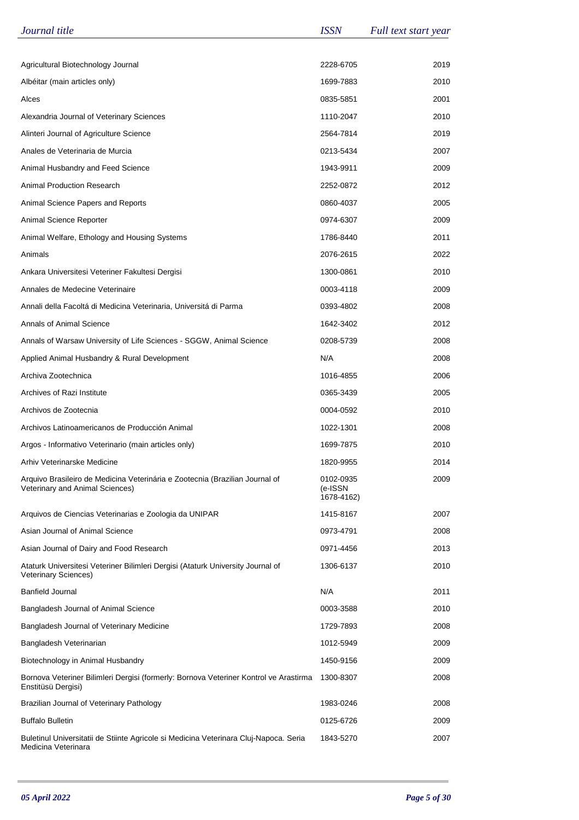| Journal title                                                                                                   | <b>ISSN</b>                        | Full text start year |
|-----------------------------------------------------------------------------------------------------------------|------------------------------------|----------------------|
|                                                                                                                 |                                    |                      |
| Agricultural Biotechnology Journal                                                                              | 2228-6705                          | 2019                 |
| Albéitar (main articles only)                                                                                   | 1699-7883                          | 2010                 |
| Alces                                                                                                           | 0835-5851                          | 2001                 |
| Alexandria Journal of Veterinary Sciences                                                                       | 1110-2047                          | 2010                 |
| Alinteri Journal of Agriculture Science                                                                         | 2564-7814                          | 2019                 |
| Anales de Veterinaria de Murcia                                                                                 | 0213-5434                          | 2007                 |
| Animal Husbandry and Feed Science                                                                               | 1943-9911                          | 2009                 |
| <b>Animal Production Research</b>                                                                               | 2252-0872                          | 2012                 |
| Animal Science Papers and Reports                                                                               | 0860-4037                          | 2005                 |
| Animal Science Reporter                                                                                         | 0974-6307                          | 2009                 |
| Animal Welfare, Ethology and Housing Systems                                                                    | 1786-8440                          | 2011                 |
| Animals                                                                                                         | 2076-2615                          | 2022                 |
| Ankara Universitesi Veteriner Fakultesi Dergisi                                                                 | 1300-0861                          | 2010                 |
| Annales de Medecine Veterinaire                                                                                 | 0003-4118                          | 2009                 |
| Annali della Facoltá di Medicina Veterinaria, Universitá di Parma                                               | 0393-4802                          | 2008                 |
| Annals of Animal Science                                                                                        | 1642-3402                          | 2012                 |
| Annals of Warsaw University of Life Sciences - SGGW, Animal Science                                             | 0208-5739                          | 2008                 |
| Applied Animal Husbandry & Rural Development                                                                    | N/A                                | 2008                 |
| Archiva Zootechnica                                                                                             | 1016-4855                          | 2006                 |
| Archives of Razi Institute                                                                                      | 0365-3439                          | 2005                 |
| Archivos de Zootecnia                                                                                           | 0004-0592                          | 2010                 |
| Archivos Latinoamericanos de Producción Animal                                                                  | 1022-1301                          | 2008                 |
| Argos - Informativo Veterinario (main articles only)                                                            | 1699-7875                          | 2010                 |
| Arhiv Veterinarske Medicine                                                                                     | 1820-9955                          | 2014                 |
| Arquivo Brasileiro de Medicina Veterinária e Zootecnia (Brazilian Journal of<br>Veterinary and Animal Sciences) | 0102-0935<br>(e-ISSN<br>1678-4162) | 2009                 |
| Arquivos de Ciencias Veterinarias e Zoologia da UNIPAR                                                          | 1415-8167                          | 2007                 |
| Asian Journal of Animal Science                                                                                 | 0973-4791                          | 2008                 |
| Asian Journal of Dairy and Food Research                                                                        | 0971-4456                          | 2013                 |
| Ataturk Universitesi Veteriner Bilimleri Dergisi (Ataturk University Journal of<br><b>Veterinary Sciences)</b>  | 1306-6137                          | 2010                 |
| <b>Banfield Journal</b>                                                                                         | N/A                                | 2011                 |
| Bangladesh Journal of Animal Science                                                                            | 0003-3588                          | 2010                 |
| Bangladesh Journal of Veterinary Medicine                                                                       | 1729-7893                          | 2008                 |
| Bangladesh Veterinarian                                                                                         | 1012-5949                          | 2009                 |
| Biotechnology in Animal Husbandry                                                                               | 1450-9156                          | 2009                 |
| Bornova Veteriner Bilimleri Dergisi (formerly: Bornova Veteriner Kontrol ve Arastirma<br>Enstitüsü Dergisi)     | 1300-8307                          | 2008                 |
| Brazilian Journal of Veterinary Pathology                                                                       | 1983-0246                          | 2008                 |
| <b>Buffalo Bulletin</b>                                                                                         | 0125-6726                          | 2009                 |
| Buletinul Universitatii de Stiinte Agricole si Medicina Veterinara Cluj-Napoca. Seria<br>Medicina Veterinara    | 1843-5270                          | 2007                 |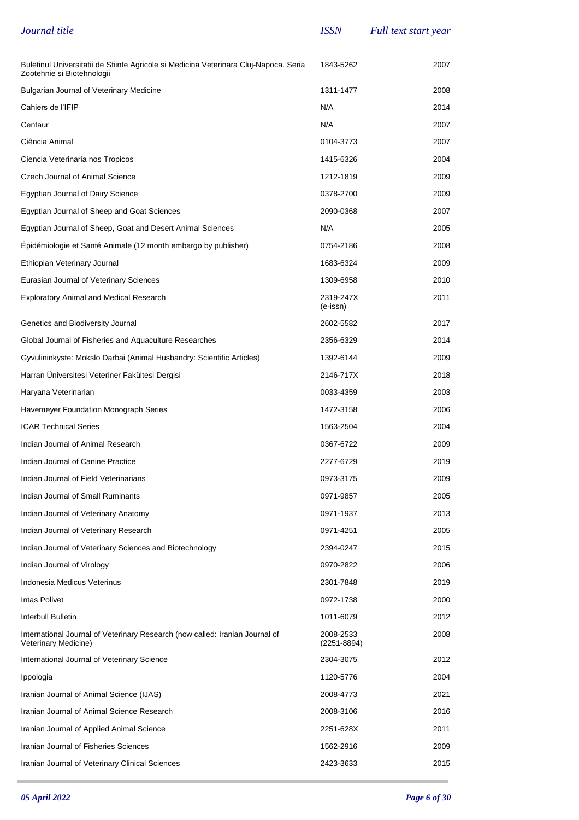| Journal title                                                                                                       | <b>ISSN</b>              | Full text start year |
|---------------------------------------------------------------------------------------------------------------------|--------------------------|----------------------|
|                                                                                                                     |                          |                      |
| Buletinul Universitatii de Stiinte Agricole si Medicina Veterinara Cluj-Napoca. Seria<br>Zootehnie si Biotehnologii | 1843-5262                | 2007                 |
| <b>Bulgarian Journal of Veterinary Medicine</b>                                                                     | 1311-1477                | 2008                 |
| Cahiers de l'IFIP                                                                                                   | N/A                      | 2014                 |
| Centaur                                                                                                             | N/A                      | 2007                 |
| Ciência Animal                                                                                                      | 0104-3773                | 2007                 |
| Ciencia Veterinaria nos Tropicos                                                                                    | 1415-6326                | 2004                 |
| Czech Journal of Animal Science                                                                                     | 1212-1819                | 2009                 |
| <b>Egyptian Journal of Dairy Science</b>                                                                            | 0378-2700                | 2009                 |
| Egyptian Journal of Sheep and Goat Sciences                                                                         | 2090-0368                | 2007                 |
| Egyptian Journal of Sheep, Goat and Desert Animal Sciences                                                          | N/A                      | 2005                 |
| Epidémiologie et Santé Animale (12 month embargo by publisher)                                                      | 0754-2186                | 2008                 |
| Ethiopian Veterinary Journal                                                                                        | 1683-6324                | 2009                 |
| Eurasian Journal of Veterinary Sciences                                                                             | 1309-6958                | 2010                 |
| <b>Exploratory Animal and Medical Research</b>                                                                      | 2319-247X<br>(e-issn)    | 2011                 |
| Genetics and Biodiversity Journal                                                                                   | 2602-5582                | 2017                 |
| Global Journal of Fisheries and Aquaculture Researches                                                              | 2356-6329                | 2014                 |
| Gyvulininkyste: Mokslo Darbai (Animal Husbandry: Scientific Articles)                                               | 1392-6144                | 2009                 |
| Harran Üniversitesi Veteriner Fakültesi Dergisi                                                                     | 2146-717X                | 2018                 |
| Haryana Veterinarian                                                                                                | 0033-4359                | 2003                 |
| Havemeyer Foundation Monograph Series                                                                               | 1472-3158                | 2006                 |
| <b>ICAR Technical Series</b>                                                                                        | 1563-2504                | 2004                 |
| Indian Journal of Animal Research                                                                                   | 0367-6722                | 2009                 |
| Indian Journal of Canine Practice                                                                                   | 2277-6729                | 2019                 |
| Indian Journal of Field Veterinarians                                                                               | 0973-3175                | 2009                 |
| Indian Journal of Small Ruminants                                                                                   | 0971-9857                | 2005                 |
| Indian Journal of Veterinary Anatomy                                                                                | 0971-1937                | 2013                 |
| Indian Journal of Veterinary Research                                                                               | 0971-4251                | 2005                 |
| Indian Journal of Veterinary Sciences and Biotechnology                                                             | 2394-0247                | 2015                 |
| Indian Journal of Virology                                                                                          | 0970-2822                | 2006                 |
| Indonesia Medicus Veterinus                                                                                         | 2301-7848                | 2019                 |
| Intas Polivet                                                                                                       | 0972-1738                | 2000                 |
| Interbull Bulletin                                                                                                  | 1011-6079                | 2012                 |
| International Journal of Veterinary Research (now called: Iranian Journal of<br>Veterinary Medicine)                | 2008-2533<br>(2251-8894) | 2008                 |
| International Journal of Veterinary Science                                                                         | 2304-3075                | 2012                 |
| Ippologia                                                                                                           | 1120-5776                | 2004                 |
| Iranian Journal of Animal Science (IJAS)                                                                            | 2008-4773                | 2021                 |
| Iranian Journal of Animal Science Research                                                                          | 2008-3106                | 2016                 |
| Iranian Journal of Applied Animal Science                                                                           | 2251-628X                | 2011                 |
| Iranian Journal of Fisheries Sciences                                                                               | 1562-2916                | 2009                 |
| Iranian Journal of Veterinary Clinical Sciences                                                                     | 2423-3633                | 2015                 |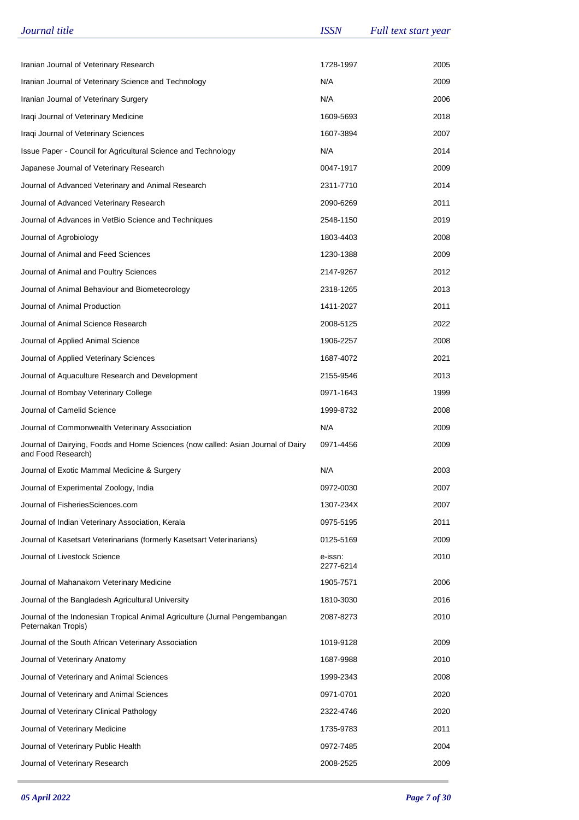| Journal title                                                                                          | <b>ISSN</b>          | Full text start year |
|--------------------------------------------------------------------------------------------------------|----------------------|----------------------|
|                                                                                                        |                      |                      |
| Iranian Journal of Veterinary Research                                                                 | 1728-1997            | 2005                 |
| Iranian Journal of Veterinary Science and Technology                                                   | N/A                  | 2009                 |
| Iranian Journal of Veterinary Surgery                                                                  | N/A                  | 2006                 |
| Iraqi Journal of Veterinary Medicine                                                                   | 1609-5693            | 2018                 |
| Iraqi Journal of Veterinary Sciences                                                                   | 1607-3894            | 2007                 |
| Issue Paper - Council for Agricultural Science and Technology                                          | N/A                  | 2014                 |
| Japanese Journal of Veterinary Research                                                                | 0047-1917            | 2009                 |
| Journal of Advanced Veterinary and Animal Research                                                     | 2311-7710            | 2014                 |
| Journal of Advanced Veterinary Research                                                                | 2090-6269            | 2011                 |
| Journal of Advances in VetBio Science and Techniques                                                   | 2548-1150            | 2019                 |
| Journal of Agrobiology                                                                                 | 1803-4403            | 2008                 |
| Journal of Animal and Feed Sciences                                                                    | 1230-1388            | 2009                 |
| Journal of Animal and Poultry Sciences                                                                 | 2147-9267            | 2012                 |
| Journal of Animal Behaviour and Biometeorology                                                         | 2318-1265            | 2013                 |
| Journal of Animal Production                                                                           | 1411-2027            | 2011                 |
| Journal of Animal Science Research                                                                     | 2008-5125            | 2022                 |
| Journal of Applied Animal Science                                                                      | 1906-2257            | 2008                 |
| Journal of Applied Veterinary Sciences                                                                 | 1687-4072            | 2021                 |
| Journal of Aquaculture Research and Development                                                        | 2155-9546            | 2013                 |
| Journal of Bombay Veterinary College                                                                   | 0971-1643            | 1999                 |
| Journal of Camelid Science                                                                             | 1999-8732            | 2008                 |
| Journal of Commonwealth Veterinary Association                                                         | N/A                  | 2009                 |
| Journal of Dairying, Foods and Home Sciences (now called: Asian Journal of Dairy<br>and Food Research) | 0971-4456            | 2009                 |
| Journal of Exotic Mammal Medicine & Surgery                                                            | N/A                  | 2003                 |
| Journal of Experimental Zoology, India                                                                 | 0972-0030            | 2007                 |
| Journal of FisheriesSciences.com                                                                       | 1307-234X            | 2007                 |
| Journal of Indian Veterinary Association, Kerala                                                       | 0975-5195            | 2011                 |
| Journal of Kasetsart Veterinarians (formerly Kasetsart Veterinarians)                                  | 0125-5169            | 2009                 |
| Journal of Livestock Science                                                                           | e-issn:<br>2277-6214 | 2010                 |
| Journal of Mahanakorn Veterinary Medicine                                                              | 1905-7571            | 2006                 |
| Journal of the Bangladesh Agricultural University                                                      | 1810-3030            | 2016                 |
| Journal of the Indonesian Tropical Animal Agriculture (Jurnal Pengembangan<br>Peternakan Tropis)       | 2087-8273            | 2010                 |
| Journal of the South African Veterinary Association                                                    | 1019-9128            | 2009                 |
| Journal of Veterinary Anatomy                                                                          | 1687-9988            | 2010                 |
| Journal of Veterinary and Animal Sciences                                                              | 1999-2343            | 2008                 |
| Journal of Veterinary and Animal Sciences                                                              | 0971-0701            | 2020                 |
| Journal of Veterinary Clinical Pathology                                                               | 2322-4746            | 2020                 |
| Journal of Veterinary Medicine                                                                         | 1735-9783            | 2011                 |
| Journal of Veterinary Public Health                                                                    | 0972-7485            | 2004                 |
| Journal of Veterinary Research                                                                         | 2008-2525            | 2009                 |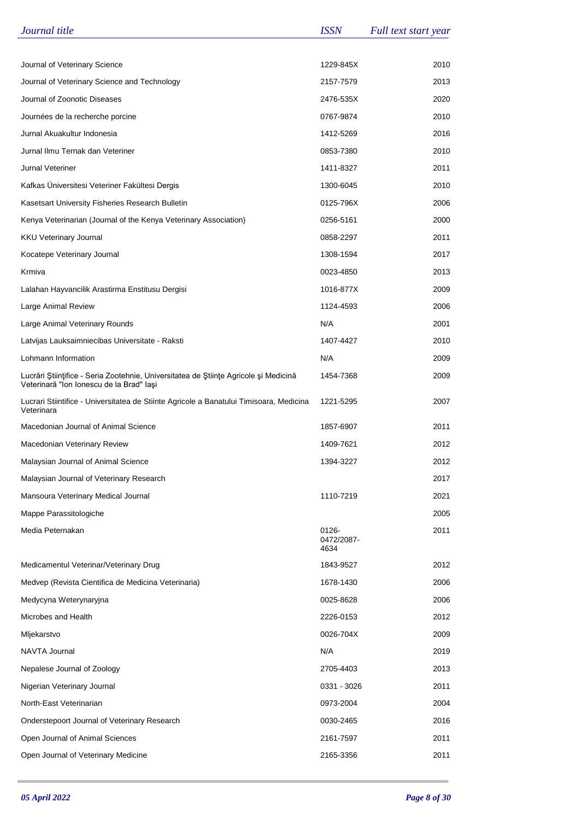| Journal title                                                                                                                    | <b>ISSN</b>                 | Full text start year |
|----------------------------------------------------------------------------------------------------------------------------------|-----------------------------|----------------------|
|                                                                                                                                  |                             |                      |
| Journal of Veterinary Science                                                                                                    | 1229-845X                   | 2010                 |
| Journal of Veterinary Science and Technology                                                                                     | 2157-7579                   | 2013                 |
| Journal of Zoonotic Diseases                                                                                                     | 2476-535X                   | 2020                 |
| Journées de la recherche porcine                                                                                                 | 0767-9874                   | 2010                 |
| Jurnal Akuakultur Indonesia                                                                                                      | 1412-5269                   | 2016                 |
| Jurnal Ilmu Ternak dan Veteriner                                                                                                 | 0853-7380                   | 2010                 |
| Jurnal Veteriner                                                                                                                 | 1411-8327                   | 2011                 |
| Kafkas Üniversitesi Veteriner Fakültesi Dergis                                                                                   | 1300-6045                   | 2010                 |
| Kasetsart University Fisheries Research Bulletin                                                                                 | 0125-796X                   | 2006                 |
| Kenya Veterinarian (Journal of the Kenya Veterinary Association)                                                                 | 0256-5161                   | 2000                 |
| <b>KKU Veterinary Journal</b>                                                                                                    | 0858-2297                   | 2011                 |
| Kocatepe Veterinary Journal                                                                                                      | 1308-1594                   | 2017                 |
| Krmiva                                                                                                                           | 0023-4850                   | 2013                 |
| Lalahan Hayvancilik Arastirma Enstitusu Dergisi                                                                                  | 1016-877X                   | 2009                 |
| Large Animal Review                                                                                                              | 1124-4593                   | 2006                 |
| Large Animal Veterinary Rounds                                                                                                   | N/A                         | 2001                 |
| Latvijas Lauksaimniecibas Universitate - Raksti                                                                                  | 1407-4427                   | 2010                 |
| Lohmann Information                                                                                                              | N/A                         | 2009                 |
| Lucrări Științifice - Seria Zootehnie, Universitatea de Științe Agricole și Medicină<br>Veterinară "Ion Ionescu de la Brad" lași | 1454-7368                   | 2009                 |
| Lucrari Stiintifice - Universitatea de Stiinte Agricole a Banatului Timisoara, Medicina<br>Veterinara                            | 1221-5295                   | 2007                 |
| Macedonian Journal of Animal Science                                                                                             | 1857-6907                   | 2011                 |
| Macedonian Veterinary Review                                                                                                     | 1409-7621                   | 2012                 |
| Malaysian Journal of Animal Science                                                                                              | 1394-3227                   | 2012                 |
| Malaysian Journal of Veterinary Research                                                                                         |                             | 2017                 |
| Mansoura Veterinary Medical Journal                                                                                              | 1110-7219                   | 2021                 |
| Mappe Parassitologiche                                                                                                           |                             | 2005                 |
| Media Peternakan                                                                                                                 | 0126-<br>0472/2087-<br>4634 | 2011                 |
| Medicamentul Veterinar/Veterinary Drug                                                                                           | 1843-9527                   | 2012                 |
| Medvep (Revista Cientifica de Medicina Veterinaria)                                                                              | 1678-1430                   | 2006                 |
| Medycyna Weterynaryjna                                                                                                           | 0025-8628                   | 2006                 |
| Microbes and Health                                                                                                              | 2226-0153                   | 2012                 |
| Mljekarstvo                                                                                                                      | 0026-704X                   | 2009                 |
| NAVTA Journal                                                                                                                    | N/A                         | 2019                 |
| Nepalese Journal of Zoology                                                                                                      | 2705-4403                   | 2013                 |
| Nigerian Veterinary Journal                                                                                                      | 0331 - 3026                 | 2011                 |
| North-East Veterinarian                                                                                                          | 0973-2004                   | 2004                 |
| Onderstepoort Journal of Veterinary Research                                                                                     | 0030-2465                   | 2016                 |
| Open Journal of Animal Sciences                                                                                                  | 2161-7597                   | 2011                 |
| Open Journal of Veterinary Medicine                                                                                              | 2165-3356                   | 2011                 |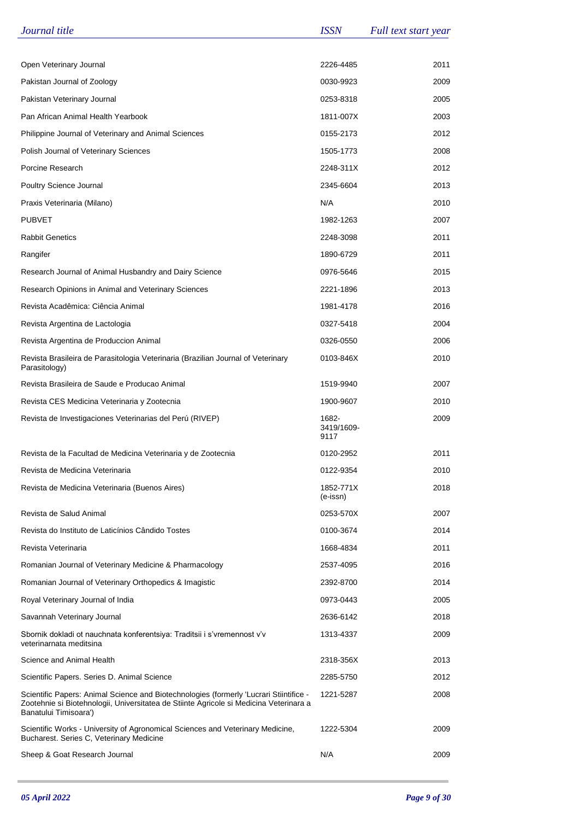| Journal title                                                                                                                                                                                             | <b>ISSN</b>                 | Full text start year |
|-----------------------------------------------------------------------------------------------------------------------------------------------------------------------------------------------------------|-----------------------------|----------------------|
|                                                                                                                                                                                                           |                             |                      |
| Open Veterinary Journal                                                                                                                                                                                   | 2226-4485                   | 2011                 |
| Pakistan Journal of Zoology                                                                                                                                                                               | 0030-9923                   | 2009                 |
| Pakistan Veterinary Journal                                                                                                                                                                               | 0253-8318                   | 2005                 |
| Pan African Animal Health Yearbook                                                                                                                                                                        | 1811-007X                   | 2003                 |
| Philippine Journal of Veterinary and Animal Sciences                                                                                                                                                      | 0155-2173                   | 2012                 |
| Polish Journal of Veterinary Sciences                                                                                                                                                                     | 1505-1773                   | 2008                 |
| Porcine Research                                                                                                                                                                                          | 2248-311X                   | 2012                 |
| Poultry Science Journal                                                                                                                                                                                   | 2345-6604                   | 2013                 |
| Praxis Veterinaria (Milano)                                                                                                                                                                               | N/A                         | 2010                 |
| <b>PUBVET</b>                                                                                                                                                                                             | 1982-1263                   | 2007                 |
| <b>Rabbit Genetics</b>                                                                                                                                                                                    | 2248-3098                   | 2011                 |
| Rangifer                                                                                                                                                                                                  | 1890-6729                   | 2011                 |
| Research Journal of Animal Husbandry and Dairy Science                                                                                                                                                    | 0976-5646                   | 2015                 |
| Research Opinions in Animal and Veterinary Sciences                                                                                                                                                       | 2221-1896                   | 2013                 |
| Revista Acadêmica: Ciência Animal                                                                                                                                                                         | 1981-4178                   | 2016                 |
| Revista Argentina de Lactologia                                                                                                                                                                           | 0327-5418                   | 2004                 |
| Revista Argentina de Produccion Animal                                                                                                                                                                    | 0326-0550                   | 2006                 |
| Revista Brasileira de Parasitologia Veterinaria (Brazilian Journal of Veterinary<br>Parasitology)                                                                                                         | 0103-846X                   | 2010                 |
| Revista Brasileira de Saude e Producao Animal                                                                                                                                                             | 1519-9940                   | 2007                 |
| Revista CES Medicina Veterinaria y Zootecnia                                                                                                                                                              | 1900-9607                   | 2010                 |
| Revista de Investigaciones Veterinarias del Perú (RIVEP)                                                                                                                                                  | 1682-<br>3419/1609-<br>9117 | 2009                 |
| Revista de la Facultad de Medicina Veterinaria y de Zootecnia                                                                                                                                             | 0120-2952                   | 2011                 |
| Revista de Medicina Veterinaria                                                                                                                                                                           | 0122-9354                   | 2010                 |
| Revista de Medicina Veterinaria (Buenos Aires)                                                                                                                                                            | 1852-771X<br>(e-issn)       | 2018                 |
| Revista de Salud Animal                                                                                                                                                                                   | 0253-570X                   | 2007                 |
| Revista do Instituto de Laticínios Cândido Tostes                                                                                                                                                         | 0100-3674                   | 2014                 |
| Revista Veterinaria                                                                                                                                                                                       | 1668-4834                   | 2011                 |
| Romanian Journal of Veterinary Medicine & Pharmacology                                                                                                                                                    | 2537-4095                   | 2016                 |
| Romanian Journal of Veterinary Orthopedics & Imagistic                                                                                                                                                    | 2392-8700                   | 2014                 |
| Royal Veterinary Journal of India                                                                                                                                                                         | 0973-0443                   | 2005                 |
| Savannah Veterinary Journal                                                                                                                                                                               | 2636-6142                   | 2018                 |
| Sbornik dokladi ot nauchnata konferentsiya: Traditsii i s'vremennost v'v<br>veterinarnata meditsina                                                                                                       | 1313-4337                   | 2009                 |
| Science and Animal Health                                                                                                                                                                                 | 2318-356X                   | 2013                 |
| Scientific Papers. Series D. Animal Science                                                                                                                                                               | 2285-5750                   | 2012                 |
| Scientific Papers: Animal Science and Biotechnologies (formerly 'Lucrari Stiintifice -<br>Zootehnie si Biotehnologii, Universitatea de Stiinte Agricole si Medicina Veterinara a<br>Banatului Timisoara') | 1221-5287                   | 2008                 |
| Scientific Works - University of Agronomical Sciences and Veterinary Medicine,<br>Bucharest. Series C, Veterinary Medicine                                                                                | 1222-5304                   | 2009                 |
| Sheep & Goat Research Journal                                                                                                                                                                             | N/A                         | 2009                 |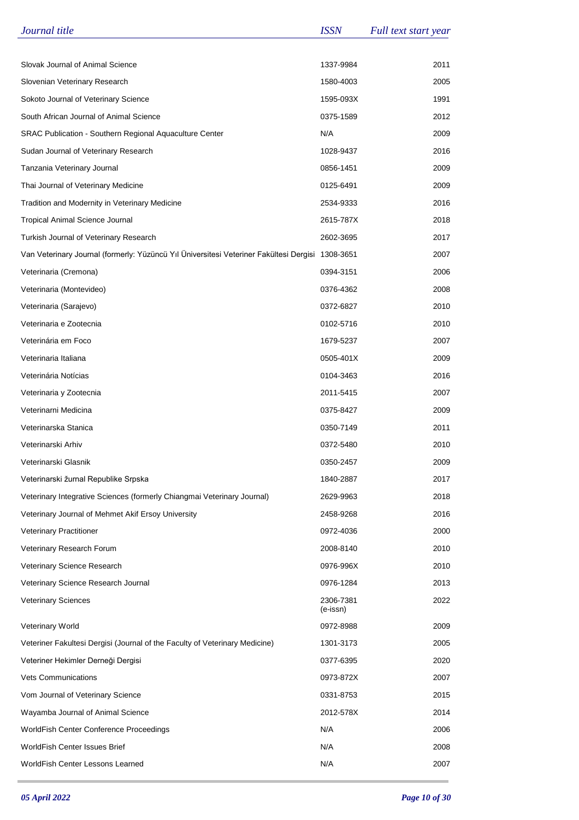| Journal title                                                                                    | <b>ISSN</b>           | Full text start year |
|--------------------------------------------------------------------------------------------------|-----------------------|----------------------|
|                                                                                                  |                       |                      |
| Slovak Journal of Animal Science                                                                 | 1337-9984             | 2011                 |
| Slovenian Veterinary Research                                                                    | 1580-4003             | 2005                 |
| Sokoto Journal of Veterinary Science                                                             | 1595-093X             | 1991                 |
| South African Journal of Animal Science                                                          | 0375-1589             | 2012                 |
| SRAC Publication - Southern Regional Aquaculture Center                                          | N/A                   | 2009                 |
| Sudan Journal of Veterinary Research                                                             | 1028-9437             | 2016                 |
| Tanzania Veterinary Journal                                                                      | 0856-1451             | 2009                 |
| Thai Journal of Veterinary Medicine                                                              | 0125-6491             | 2009                 |
| Tradition and Modernity in Veterinary Medicine                                                   | 2534-9333             | 2016                 |
| <b>Tropical Animal Science Journal</b>                                                           | 2615-787X             | 2018                 |
| Turkish Journal of Veterinary Research                                                           | 2602-3695             | 2017                 |
| Van Veterinary Journal (formerly: Yüzüncü Yıl Üniversitesi Veteriner Fakültesi Dergisi 1308-3651 |                       | 2007                 |
| Veterinaria (Cremona)                                                                            | 0394-3151             | 2006                 |
| Veterinaria (Montevideo)                                                                         | 0376-4362             | 2008                 |
| Veterinaria (Sarajevo)                                                                           | 0372-6827             | 2010                 |
| Veterinaria e Zootecnia                                                                          | 0102-5716             | 2010                 |
| Veterinária em Foco                                                                              | 1679-5237             | 2007                 |
| Veterinaria Italiana                                                                             | 0505-401X             | 2009                 |
| Veterinária Notícias                                                                             | 0104-3463             | 2016                 |
| Veterinaria y Zootecnia                                                                          | 2011-5415             | 2007                 |
| Veterinarni Medicina                                                                             | 0375-8427             | 2009                 |
| Veterinarska Stanica                                                                             | 0350-7149             | 2011                 |
| Veterinarski Arhiv                                                                               | 0372-5480             | 2010                 |
| Veterinarski Glasnik                                                                             | 0350-2457             | 2009                 |
| Veterinarski žurnal Republike Srpska                                                             | 1840-2887             | 2017                 |
| Veterinary Integrative Sciences (formerly Chiangmai Veterinary Journal)                          | 2629-9963             | 2018                 |
| Veterinary Journal of Mehmet Akif Ersoy University                                               | 2458-9268             | 2016                 |
| <b>Veterinary Practitioner</b>                                                                   | 0972-4036             | 2000                 |
| Veterinary Research Forum                                                                        | 2008-8140             | 2010                 |
| Veterinary Science Research                                                                      | 0976-996X             | 2010                 |
| Veterinary Science Research Journal                                                              | 0976-1284             | 2013                 |
| <b>Veterinary Sciences</b>                                                                       | 2306-7381<br>(e-issn) | 2022                 |
| <b>Veterinary World</b>                                                                          | 0972-8988             | 2009                 |
| Veteriner Fakultesi Dergisi (Journal of the Faculty of Veterinary Medicine)                      | 1301-3173             | 2005                 |
| Veteriner Hekimler Derneği Dergisi                                                               | 0377-6395             | 2020                 |
| <b>Vets Communications</b>                                                                       | 0973-872X             | 2007                 |
| Vom Journal of Veterinary Science                                                                | 0331-8753             | 2015                 |
| Wayamba Journal of Animal Science                                                                | 2012-578X             | 2014                 |
| WorldFish Center Conference Proceedings                                                          | N/A                   | 2006                 |
| WorldFish Center Issues Brief                                                                    | N/A                   | 2008                 |
| WorldFish Center Lessons Learned                                                                 | N/A                   | 2007                 |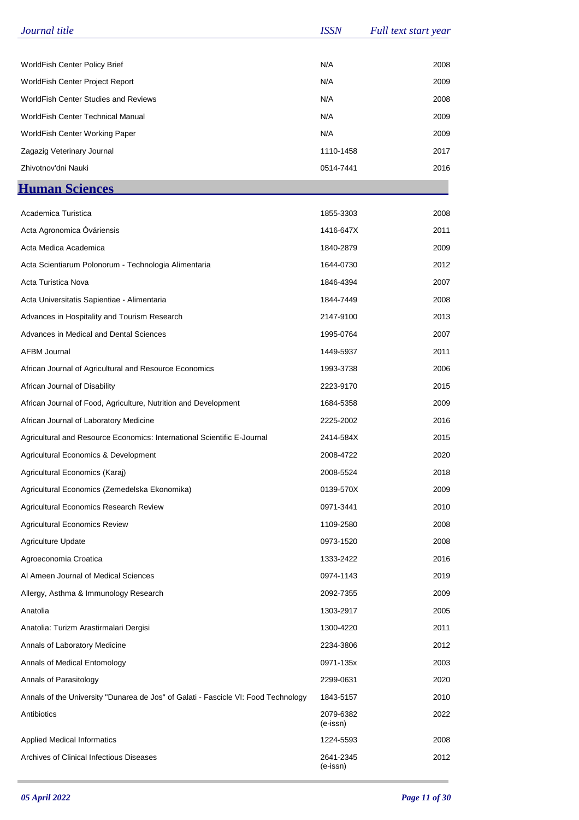| Journal title                                                                      | <b>ISSN</b>           | Full text start year |
|------------------------------------------------------------------------------------|-----------------------|----------------------|
|                                                                                    |                       |                      |
| WorldFish Center Policy Brief                                                      | N/A                   | 2008                 |
| WorldFish Center Project Report                                                    | N/A                   | 2009                 |
| <b>WorldFish Center Studies and Reviews</b>                                        | N/A                   | 2008                 |
| WorldFish Center Technical Manual                                                  | N/A                   | 2009                 |
| WorldFish Center Working Paper                                                     | N/A                   | 2009                 |
| Zagazig Veterinary Journal                                                         | 1110-1458             | 2017                 |
| Zhivotnov'dni Nauki                                                                | 0514-7441             | 2016                 |
| <b>Human Sciences</b>                                                              |                       |                      |
|                                                                                    |                       |                      |
| Academica Turistica                                                                | 1855-3303             | 2008                 |
| Acta Agronomica Óváriensis                                                         | 1416-647X             | 2011                 |
| Acta Medica Academica                                                              | 1840-2879             | 2009                 |
| Acta Scientiarum Polonorum - Technologia Alimentaria                               | 1644-0730             | 2012                 |
| Acta Turistica Nova                                                                | 1846-4394             | 2007                 |
| Acta Universitatis Sapientiae - Alimentaria                                        | 1844-7449             | 2008                 |
| Advances in Hospitality and Tourism Research                                       | 2147-9100             | 2013                 |
| Advances in Medical and Dental Sciences                                            | 1995-0764             | 2007                 |
| <b>AFBM Journal</b>                                                                | 1449-5937             | 2011                 |
| African Journal of Agricultural and Resource Economics                             | 1993-3738             | 2006                 |
| African Journal of Disability                                                      | 2223-9170             | 2015                 |
| African Journal of Food, Agriculture, Nutrition and Development                    | 1684-5358             | 2009                 |
| African Journal of Laboratory Medicine                                             | 2225-2002             | 2016                 |
| Agricultural and Resource Economics: International Scientific E-Journal            | 2414-584X             | 2015                 |
| Agricultural Economics & Development                                               | 2008-4722             | 2020                 |
| Agricultural Economics (Karaj)                                                     | 2008-5524             | 2018                 |
| Agricultural Economics (Zemedelska Ekonomika)                                      | 0139-570X             | 2009                 |
| Agricultural Economics Research Review                                             | 0971-3441             | 2010                 |
| <b>Agricultural Economics Review</b>                                               | 1109-2580             | 2008                 |
| <b>Agriculture Update</b>                                                          | 0973-1520             | 2008                 |
| Agroeconomia Croatica                                                              | 1333-2422             | 2016                 |
| Al Ameen Journal of Medical Sciences                                               | 0974-1143             | 2019                 |
| Allergy, Asthma & Immunology Research                                              | 2092-7355             | 2009                 |
| Anatolia                                                                           | 1303-2917             | 2005                 |
| Anatolia: Turizm Arastirmalari Dergisi                                             | 1300-4220             | 2011                 |
| Annals of Laboratory Medicine                                                      | 2234-3806             | 2012                 |
| Annals of Medical Entomology                                                       | 0971-135x             | 2003                 |
| Annals of Parasitology                                                             | 2299-0631             | 2020                 |
| Annals of the University "Dunarea de Jos" of Galati - Fascicle VI: Food Technology | 1843-5157             | 2010                 |
| Antibiotics                                                                        | 2079-6382<br>(e-issn) | 2022                 |
| <b>Applied Medical Informatics</b>                                                 | 1224-5593             | 2008                 |
| Archives of Clinical Infectious Diseases                                           | 2641-2345<br>(e-issn) | 2012                 |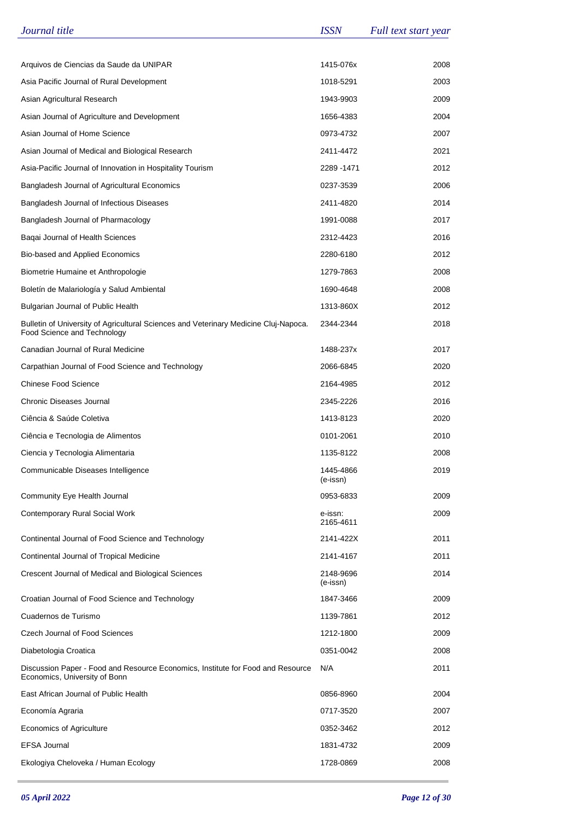| Journal title                                                                                                       | <b>ISSN</b>           | Full text start year |
|---------------------------------------------------------------------------------------------------------------------|-----------------------|----------------------|
|                                                                                                                     |                       |                      |
| Arquivos de Ciencias da Saude da UNIPAR                                                                             | 1415-076x             | 2008                 |
| Asia Pacific Journal of Rural Development                                                                           | 1018-5291             | 2003                 |
| Asian Agricultural Research                                                                                         | 1943-9903             | 2009                 |
| Asian Journal of Agriculture and Development                                                                        | 1656-4383             | 2004                 |
| Asian Journal of Home Science                                                                                       | 0973-4732             | 2007                 |
| Asian Journal of Medical and Biological Research                                                                    | 2411-4472             | 2021                 |
| Asia-Pacific Journal of Innovation in Hospitality Tourism                                                           | 2289 - 1471           | 2012                 |
| Bangladesh Journal of Agricultural Economics                                                                        | 0237-3539             | 2006                 |
| Bangladesh Journal of Infectious Diseases                                                                           | 2411-4820             | 2014                 |
| Bangladesh Journal of Pharmacology                                                                                  | 1991-0088             | 2017                 |
| Baqai Journal of Health Sciences                                                                                    | 2312-4423             | 2016                 |
| Bio-based and Applied Economics                                                                                     | 2280-6180             | 2012                 |
| Biometrie Humaine et Anthropologie                                                                                  | 1279-7863             | 2008                 |
| Boletín de Malariología y Salud Ambiental                                                                           | 1690-4648             | 2008                 |
| Bulgarian Journal of Public Health                                                                                  | 1313-860X             | 2012                 |
| Bulletin of University of Agricultural Sciences and Veterinary Medicine Cluj-Napoca.<br>Food Science and Technology | 2344-2344             | 2018                 |
| Canadian Journal of Rural Medicine                                                                                  | 1488-237x             | 2017                 |
| Carpathian Journal of Food Science and Technology                                                                   | 2066-6845             | 2020                 |
| <b>Chinese Food Science</b>                                                                                         | 2164-4985             | 2012                 |
| Chronic Diseases Journal                                                                                            | 2345-2226             | 2016                 |
| Ciência & Saúde Coletiva                                                                                            | 1413-8123             | 2020                 |
| Ciência e Tecnologia de Alimentos                                                                                   | 0101-2061             | 2010                 |
| Ciencia y Tecnologia Alimentaria                                                                                    | 1135-8122             | 2008                 |
| Communicable Diseases Intelligence                                                                                  | 1445-4866<br>(e-issn) | 2019                 |
| Community Eye Health Journal                                                                                        | 0953-6833             | 2009                 |
| <b>Contemporary Rural Social Work</b>                                                                               | e-issn:<br>2165-4611  | 2009                 |
| Continental Journal of Food Science and Technology                                                                  | 2141-422X             | 2011                 |
| Continental Journal of Tropical Medicine                                                                            | 2141-4167             | 2011                 |
| Crescent Journal of Medical and Biological Sciences                                                                 | 2148-9696<br>(e-issn) | 2014                 |
| Croatian Journal of Food Science and Technology                                                                     | 1847-3466             | 2009                 |
| Cuadernos de Turismo                                                                                                | 1139-7861             | 2012                 |
| Czech Journal of Food Sciences                                                                                      | 1212-1800             | 2009                 |
| Diabetologia Croatica                                                                                               | 0351-0042             | 2008                 |
| Discussion Paper - Food and Resource Economics, Institute for Food and Resource<br>Economics, University of Bonn    | N/A                   | 2011                 |
| East African Journal of Public Health                                                                               | 0856-8960             | 2004                 |
| Economía Agraria                                                                                                    | 0717-3520             | 2007                 |
| Economics of Agriculture                                                                                            | 0352-3462             | 2012                 |
| <b>EFSA Journal</b>                                                                                                 | 1831-4732             | 2009                 |
| Ekologiya Cheloveka / Human Ecology                                                                                 | 1728-0869             | 2008                 |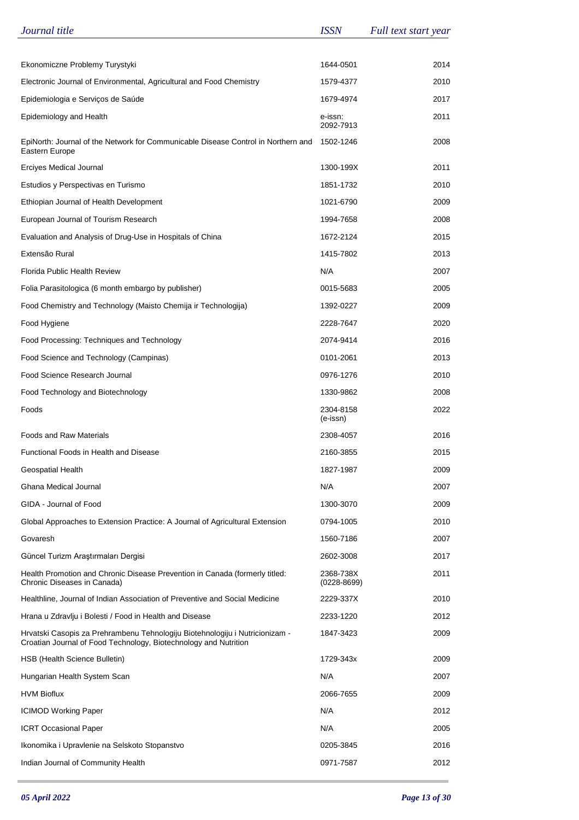| Journal title                                                                                                                                    | <b>ISSN</b>                  | Full text start year |
|--------------------------------------------------------------------------------------------------------------------------------------------------|------------------------------|----------------------|
|                                                                                                                                                  |                              |                      |
| Ekonomiczne Problemy Turystyki                                                                                                                   | 1644-0501                    | 2014                 |
| Electronic Journal of Environmental, Agricultural and Food Chemistry                                                                             | 1579-4377                    | 2010                 |
| Epidemiologia e Serviços de Saúde                                                                                                                | 1679-4974                    | 2017                 |
| Epidemiology and Health                                                                                                                          | e-issn:<br>2092-7913         | 2011                 |
| EpiNorth: Journal of the Network for Communicable Disease Control in Northern and<br>Eastern Europe                                              | 1502-1246                    | 2008                 |
| Erciyes Medical Journal                                                                                                                          | 1300-199X                    | 2011                 |
| Estudios y Perspectivas en Turismo                                                                                                               | 1851-1732                    | 2010                 |
| Ethiopian Journal of Health Development                                                                                                          | 1021-6790                    | 2009                 |
| European Journal of Tourism Research                                                                                                             | 1994-7658                    | 2008                 |
| Evaluation and Analysis of Drug-Use in Hospitals of China                                                                                        | 1672-2124                    | 2015                 |
| Extensão Rural                                                                                                                                   | 1415-7802                    | 2013                 |
| Florida Public Health Review                                                                                                                     | N/A                          | 2007                 |
| Folia Parasitologica (6 month embargo by publisher)                                                                                              | 0015-5683                    | 2005                 |
| Food Chemistry and Technology (Maisto Chemija ir Technologija)                                                                                   | 1392-0227                    | 2009                 |
| Food Hygiene                                                                                                                                     | 2228-7647                    | 2020                 |
| Food Processing: Techniques and Technology                                                                                                       | 2074-9414                    | 2016                 |
| Food Science and Technology (Campinas)                                                                                                           | 0101-2061                    | 2013                 |
| Food Science Research Journal                                                                                                                    | 0976-1276                    | 2010                 |
| Food Technology and Biotechnology                                                                                                                | 1330-9862                    | 2008                 |
| Foods                                                                                                                                            | 2304-8158<br>(e-issn)        | 2022                 |
| <b>Foods and Raw Materials</b>                                                                                                                   | 2308-4057                    | 2016                 |
| Functional Foods in Health and Disease                                                                                                           | 2160-3855                    | 2015                 |
| Geospatial Health                                                                                                                                | 1827-1987                    | 2009                 |
| Ghana Medical Journal                                                                                                                            | N/A                          | 2007                 |
| GIDA - Journal of Food                                                                                                                           | 1300-3070                    | 2009                 |
| Global Approaches to Extension Practice: A Journal of Agricultural Extension                                                                     | 0794-1005                    | 2010                 |
| Govaresh                                                                                                                                         | 1560-7186                    | 2007                 |
| Güncel Turizm Araştırmaları Dergisi                                                                                                              | 2602-3008                    | 2017                 |
| Health Promotion and Chronic Disease Prevention in Canada (formerly titled:<br>Chronic Diseases in Canada)                                       | 2368-738X<br>$(0228 - 8699)$ | 2011                 |
| Healthline, Journal of Indian Association of Preventive and Social Medicine                                                                      | 2229-337X                    | 2010                 |
| Hrana u Zdravlju i Bolesti / Food in Health and Disease                                                                                          | 2233-1220                    | 2012                 |
| Hrvatski Casopis za Prehrambenu Tehnologiju Biotehnologiju i Nutricionizam -<br>Croatian Journal of Food Technology, Biotechnology and Nutrition | 1847-3423                    | 2009                 |
| HSB (Health Science Bulletin)                                                                                                                    | 1729-343x                    | 2009                 |
| Hungarian Health System Scan                                                                                                                     | N/A                          | 2007                 |
| <b>HVM Bioflux</b>                                                                                                                               | 2066-7655                    | 2009                 |
| <b>ICIMOD Working Paper</b>                                                                                                                      | N/A                          | 2012                 |
| <b>ICRT Occasional Paper</b>                                                                                                                     | N/A                          | 2005                 |
| Ikonomika i Upravlenie na Selskoto Stopanstvo                                                                                                    | 0205-3845                    | 2016                 |
| Indian Journal of Community Health                                                                                                               | 0971-7587                    | 2012                 |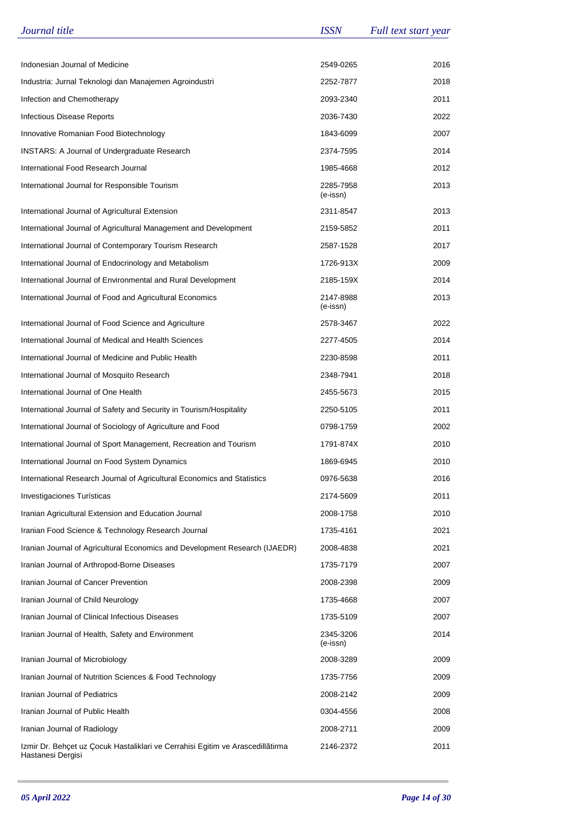| Journal title                                                                                       | <b>ISSN</b>           | Full text start year |
|-----------------------------------------------------------------------------------------------------|-----------------------|----------------------|
|                                                                                                     |                       |                      |
| Indonesian Journal of Medicine                                                                      | 2549-0265             | 2016                 |
| Industria: Jurnal Teknologi dan Manajemen Agroindustri                                              | 2252-7877             | 2018                 |
| Infection and Chemotherapy                                                                          | 2093-2340             | 2011                 |
| Infectious Disease Reports                                                                          | 2036-7430             | 2022                 |
| Innovative Romanian Food Biotechnology                                                              | 1843-6099             | 2007                 |
| <b>INSTARS: A Journal of Undergraduate Research</b>                                                 | 2374-7595             | 2014                 |
| International Food Research Journal                                                                 | 1985-4668             | 2012                 |
| International Journal for Responsible Tourism                                                       | 2285-7958<br>(e-issn) | 2013                 |
| International Journal of Agricultural Extension                                                     | 2311-8547             | 2013                 |
| International Journal of Agricultural Management and Development                                    | 2159-5852             | 2011                 |
| International Journal of Contemporary Tourism Research                                              | 2587-1528             | 2017                 |
| International Journal of Endocrinology and Metabolism                                               | 1726-913X             | 2009                 |
| International Journal of Environmental and Rural Development                                        | 2185-159X             | 2014                 |
| International Journal of Food and Agricultural Economics                                            | 2147-8988<br>(e-issn) | 2013                 |
| International Journal of Food Science and Agriculture                                               | 2578-3467             | 2022                 |
| International Journal of Medical and Health Sciences                                                | 2277-4505             | 2014                 |
| International Journal of Medicine and Public Health                                                 | 2230-8598             | 2011                 |
| International Journal of Mosquito Research                                                          | 2348-7941             | 2018                 |
| International Journal of One Health                                                                 | 2455-5673             | 2015                 |
| International Journal of Safety and Security in Tourism/Hospitality                                 | 2250-5105             | 2011                 |
| International Journal of Sociology of Agriculture and Food                                          | 0798-1759             | 2002                 |
| International Journal of Sport Management, Recreation and Tourism                                   | 1791-874X             | 2010                 |
| International Journal on Food System Dynamics                                                       | 1869-6945             | 2010                 |
| International Research Journal of Agricultural Economics and Statistics                             | 0976-5638             | 2016                 |
| Investigaciones Turísticas                                                                          | 2174-5609             | 2011                 |
| Iranian Agricultural Extension and Education Journal                                                | 2008-1758             | 2010                 |
| Iranian Food Science & Technology Research Journal                                                  | 1735-4161             | 2021                 |
| Iranian Journal of Agricultural Economics and Development Research (IJAEDR)                         | 2008-4838             | 2021                 |
| Iranian Journal of Arthropod-Borne Diseases                                                         | 1735-7179             | 2007                 |
| Iranian Journal of Cancer Prevention                                                                | 2008-2398             | 2009                 |
| Iranian Journal of Child Neurology                                                                  | 1735-4668             | 2007                 |
| Iranian Journal of Clinical Infectious Diseases                                                     | 1735-5109             | 2007                 |
| Iranian Journal of Health, Safety and Environment                                                   | 2345-3206<br>(e-issn) | 2014                 |
| Iranian Journal of Microbiology                                                                     | 2008-3289             | 2009                 |
| Iranian Journal of Nutrition Sciences & Food Technology                                             | 1735-7756             | 2009                 |
| Iranian Journal of Pediatrics                                                                       | 2008-2142             | 2009                 |
| Iranian Journal of Public Health                                                                    | 0304-4556             | 2008                 |
| Iranian Journal of Radiology                                                                        | 2008-2711             | 2009                 |
| Izmir Dr. Behçet uz Çocuk Hastaliklari ve Cerrahisi Egitim ve Arascedillãtirma<br>Hastanesi Dergisi | 2146-2372             | 2011                 |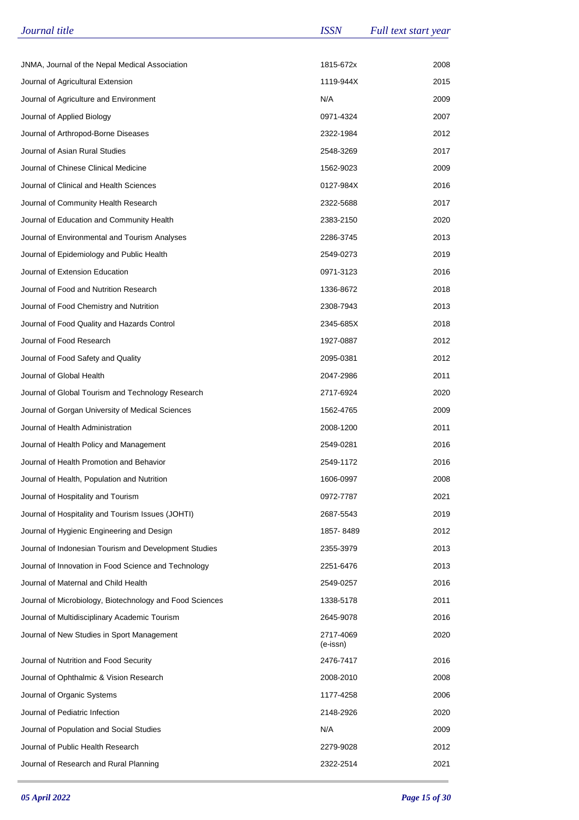| Journal title                                            | <b>ISSN</b>           | Full text start year |
|----------------------------------------------------------|-----------------------|----------------------|
|                                                          |                       |                      |
| JNMA, Journal of the Nepal Medical Association           | 1815-672x             | 2008                 |
| Journal of Agricultural Extension                        | 1119-944X             | 2015                 |
| Journal of Agriculture and Environment                   | N/A                   | 2009                 |
| Journal of Applied Biology                               | 0971-4324             | 2007                 |
| Journal of Arthropod-Borne Diseases                      | 2322-1984             | 2012                 |
| Journal of Asian Rural Studies                           | 2548-3269             | 2017                 |
| Journal of Chinese Clinical Medicine                     | 1562-9023             | 2009                 |
| Journal of Clinical and Health Sciences                  | 0127-984X             | 2016                 |
| Journal of Community Health Research                     | 2322-5688             | 2017                 |
| Journal of Education and Community Health                | 2383-2150             | 2020                 |
| Journal of Environmental and Tourism Analyses            | 2286-3745             | 2013                 |
| Journal of Epidemiology and Public Health                | 2549-0273             | 2019                 |
| Journal of Extension Education                           | 0971-3123             | 2016                 |
| Journal of Food and Nutrition Research                   | 1336-8672             | 2018                 |
| Journal of Food Chemistry and Nutrition                  | 2308-7943             | 2013                 |
| Journal of Food Quality and Hazards Control              | 2345-685X             | 2018                 |
| Journal of Food Research                                 | 1927-0887             | 2012                 |
| Journal of Food Safety and Quality                       | 2095-0381             | 2012                 |
| Journal of Global Health                                 | 2047-2986             | 2011                 |
| Journal of Global Tourism and Technology Research        | 2717-6924             | 2020                 |
| Journal of Gorgan University of Medical Sciences         | 1562-4765             | 2009                 |
| Journal of Health Administration                         | 2008-1200             | 2011                 |
| Journal of Health Policy and Management                  | 2549-0281             | 2016                 |
| Journal of Health Promotion and Behavior                 | 2549-1172             | 2016                 |
| Journal of Health, Population and Nutrition              | 1606-0997             | 2008                 |
| Journal of Hospitality and Tourism                       | 0972-7787             | 2021                 |
| Journal of Hospitality and Tourism Issues (JOHTI)        | 2687-5543             | 2019                 |
| Journal of Hygienic Engineering and Design               | 1857-8489             | 2012                 |
| Journal of Indonesian Tourism and Development Studies    | 2355-3979             | 2013                 |
| Journal of Innovation in Food Science and Technology     | 2251-6476             | 2013                 |
| Journal of Maternal and Child Health                     | 2549-0257             | 2016                 |
| Journal of Microbiology, Biotechnology and Food Sciences | 1338-5178             | 2011                 |
| Journal of Multidisciplinary Academic Tourism            | 2645-9078             | 2016                 |
| Journal of New Studies in Sport Management               | 2717-4069<br>(e-issn) | 2020                 |
| Journal of Nutrition and Food Security                   | 2476-7417             | 2016                 |
| Journal of Ophthalmic & Vision Research                  | 2008-2010             | 2008                 |
| Journal of Organic Systems                               | 1177-4258             | 2006                 |
| Journal of Pediatric Infection                           | 2148-2926             | 2020                 |
| Journal of Population and Social Studies                 | N/A                   | 2009                 |
| Journal of Public Health Research                        | 2279-9028             | 2012                 |
| Journal of Research and Rural Planning                   | 2322-2514             | 2021                 |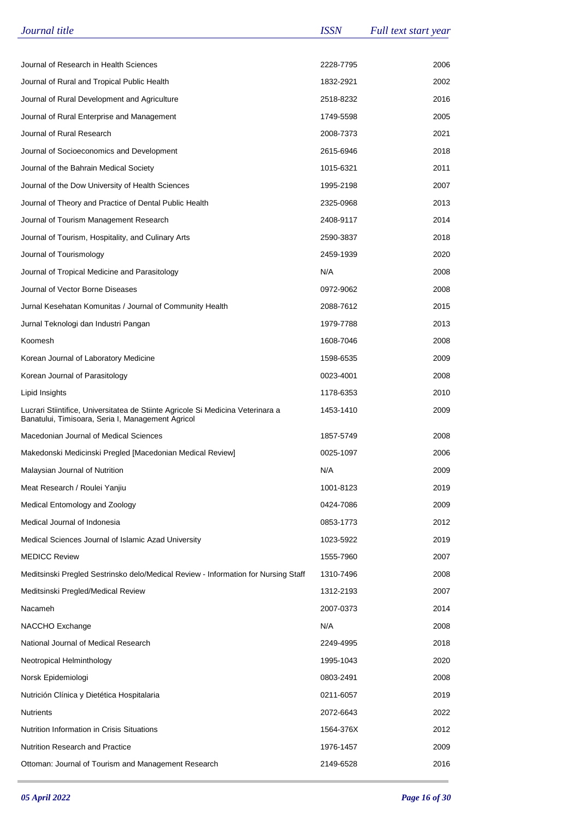| Journal title                                                                                                                        | <b>ISSN</b> | Full text start year |
|--------------------------------------------------------------------------------------------------------------------------------------|-------------|----------------------|
|                                                                                                                                      |             |                      |
| Journal of Research in Health Sciences                                                                                               | 2228-7795   | 2006                 |
| Journal of Rural and Tropical Public Health                                                                                          | 1832-2921   | 2002                 |
| Journal of Rural Development and Agriculture                                                                                         | 2518-8232   | 2016                 |
| Journal of Rural Enterprise and Management                                                                                           | 1749-5598   | 2005                 |
| Journal of Rural Research                                                                                                            | 2008-7373   | 2021                 |
| Journal of Socioeconomics and Development                                                                                            | 2615-6946   | 2018                 |
| Journal of the Bahrain Medical Society                                                                                               | 1015-6321   | 2011                 |
| Journal of the Dow University of Health Sciences                                                                                     | 1995-2198   | 2007                 |
| Journal of Theory and Practice of Dental Public Health                                                                               | 2325-0968   | 2013                 |
| Journal of Tourism Management Research                                                                                               | 2408-9117   | 2014                 |
| Journal of Tourism, Hospitality, and Culinary Arts                                                                                   | 2590-3837   | 2018                 |
| Journal of Tourismology                                                                                                              | 2459-1939   | 2020                 |
| Journal of Tropical Medicine and Parasitology                                                                                        | N/A         | 2008                 |
| Journal of Vector Borne Diseases                                                                                                     | 0972-9062   | 2008                 |
| Jurnal Kesehatan Komunitas / Journal of Community Health                                                                             | 2088-7612   | 2015                 |
| Jurnal Teknologi dan Industri Pangan                                                                                                 | 1979-7788   | 2013                 |
| Koomesh                                                                                                                              | 1608-7046   | 2008                 |
| Korean Journal of Laboratory Medicine                                                                                                | 1598-6535   | 2009                 |
| Korean Journal of Parasitology                                                                                                       | 0023-4001   | 2008                 |
| Lipid Insights                                                                                                                       | 1178-6353   | 2010                 |
| Lucrari Stiintifice, Universitatea de Stiinte Agricole Si Medicina Veterinara a<br>Banatului, Timisoara, Seria I, Management Agricol | 1453-1410   | 2009                 |
| Macedonian Journal of Medical Sciences                                                                                               | 1857-5749   | 2008                 |
| Makedonski Medicinski Pregled [Macedonian Medical Review]                                                                            | 0025-1097   | 2006                 |
| Malaysian Journal of Nutrition                                                                                                       | N/A         | 2009                 |
| Meat Research / Roulei Yanjiu                                                                                                        | 1001-8123   | 2019                 |
| Medical Entomology and Zoology                                                                                                       | 0424-7086   | 2009                 |
| Medical Journal of Indonesia                                                                                                         | 0853-1773   | 2012                 |
| Medical Sciences Journal of Islamic Azad University                                                                                  | 1023-5922   | 2019                 |
| <b>MEDICC Review</b>                                                                                                                 | 1555-7960   | 2007                 |
| Meditsinski Pregled Sestrinsko delo/Medical Review - Information for Nursing Staff                                                   | 1310-7496   | 2008                 |
| Meditsinski Pregled/Medical Review                                                                                                   | 1312-2193   | 2007                 |
| Nacameh                                                                                                                              | 2007-0373   | 2014                 |
| NACCHO Exchange                                                                                                                      | N/A         | 2008                 |
| National Journal of Medical Research                                                                                                 | 2249-4995   | 2018                 |
| Neotropical Helminthology                                                                                                            | 1995-1043   | 2020                 |
| Norsk Epidemiologi                                                                                                                   | 0803-2491   | 2008                 |
| Nutrición Clínica y Dietética Hospitalaria                                                                                           | 0211-6057   | 2019                 |
| <b>Nutrients</b>                                                                                                                     | 2072-6643   | 2022                 |
| Nutrition Information in Crisis Situations                                                                                           | 1564-376X   | 2012                 |
| <b>Nutrition Research and Practice</b>                                                                                               | 1976-1457   | 2009                 |
| Ottoman: Journal of Tourism and Management Research                                                                                  | 2149-6528   | 2016                 |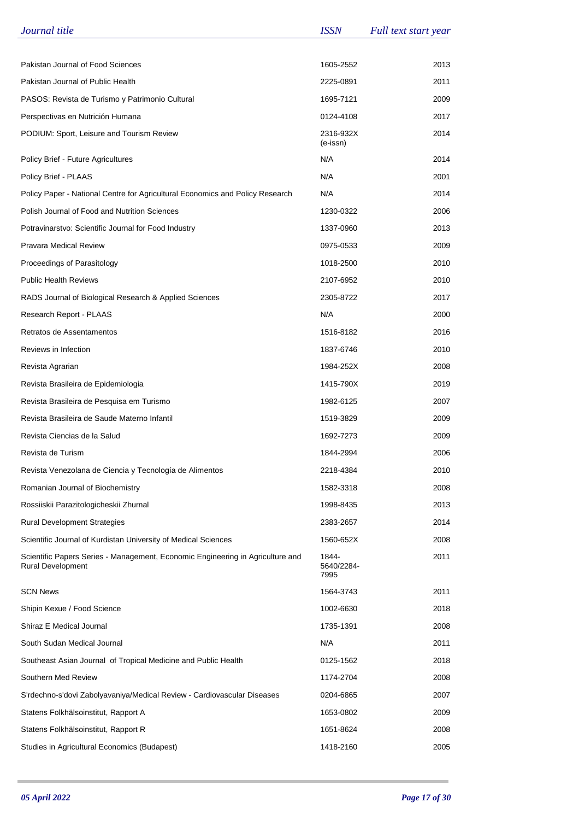| Journal title                                                                                              | <b>ISSN</b>                 | Full text start year |
|------------------------------------------------------------------------------------------------------------|-----------------------------|----------------------|
|                                                                                                            |                             |                      |
| Pakistan Journal of Food Sciences                                                                          | 1605-2552                   | 2013                 |
| Pakistan Journal of Public Health                                                                          | 2225-0891                   | 2011                 |
| PASOS: Revista de Turismo y Patrimonio Cultural                                                            | 1695-7121                   | 2009                 |
| Perspectivas en Nutrición Humana                                                                           | 0124-4108                   | 2017                 |
| PODIUM: Sport, Leisure and Tourism Review                                                                  | 2316-932X<br>(e-issn)       | 2014                 |
| Policy Brief - Future Agricultures                                                                         | N/A                         | 2014                 |
| Policy Brief - PLAAS                                                                                       | N/A                         | 2001                 |
| Policy Paper - National Centre for Agricultural Economics and Policy Research                              | N/A                         | 2014                 |
| Polish Journal of Food and Nutrition Sciences                                                              | 1230-0322                   | 2006                 |
| Potravinarstvo: Scientific Journal for Food Industry                                                       | 1337-0960                   | 2013                 |
| <b>Pravara Medical Review</b>                                                                              | 0975-0533                   | 2009                 |
| Proceedings of Parasitology                                                                                | 1018-2500                   | 2010                 |
| <b>Public Health Reviews</b>                                                                               | 2107-6952                   | 2010                 |
| RADS Journal of Biological Research & Applied Sciences                                                     | 2305-8722                   | 2017                 |
| Research Report - PLAAS                                                                                    | N/A                         | 2000                 |
| Retratos de Assentamentos                                                                                  | 1516-8182                   | 2016                 |
| Reviews in Infection                                                                                       | 1837-6746                   | 2010                 |
| Revista Agrarian                                                                                           | 1984-252X                   | 2008                 |
| Revista Brasileira de Epidemiologia                                                                        | 1415-790X                   | 2019                 |
| Revista Brasileira de Pesquisa em Turismo                                                                  | 1982-6125                   | 2007                 |
| Revista Brasileira de Saude Materno Infantil                                                               | 1519-3829                   | 2009                 |
| Revista Ciencias de la Salud                                                                               | 1692-7273                   | 2009                 |
| Revista de Turism                                                                                          | 1844-2994                   | 2006                 |
| Revista Venezolana de Ciencia y Tecnología de Alimentos                                                    | 2218-4384                   | 2010                 |
| Romanian Journal of Biochemistry                                                                           | 1582-3318                   | 2008                 |
| Rossiiskii Parazitologicheskii Zhurnal                                                                     | 1998-8435                   | 2013                 |
| <b>Rural Development Strategies</b>                                                                        | 2383-2657                   | 2014                 |
| Scientific Journal of Kurdistan University of Medical Sciences                                             | 1560-652X                   | 2008                 |
| Scientific Papers Series - Management, Economic Engineering in Agriculture and<br><b>Rural Development</b> | 1844-<br>5640/2284-<br>7995 | 2011                 |
| <b>SCN News</b>                                                                                            | 1564-3743                   | 2011                 |
| Shipin Kexue / Food Science                                                                                | 1002-6630                   | 2018                 |
| Shiraz E Medical Journal                                                                                   | 1735-1391                   | 2008                 |
| South Sudan Medical Journal                                                                                | N/A                         | 2011                 |
| Southeast Asian Journal of Tropical Medicine and Public Health                                             | 0125-1562                   | 2018                 |
| Southern Med Review                                                                                        | 1174-2704                   | 2008                 |
| S'rdechno-s'dovi Zabolyavaniya/Medical Review - Cardiovascular Diseases                                    | 0204-6865                   | 2007                 |
| Statens Folkhälsoinstitut, Rapport A                                                                       | 1653-0802                   | 2009                 |
| Statens Folkhälsoinstitut, Rapport R                                                                       | 1651-8624                   | 2008                 |
| Studies in Agricultural Economics (Budapest)                                                               | 1418-2160                   | 2005                 |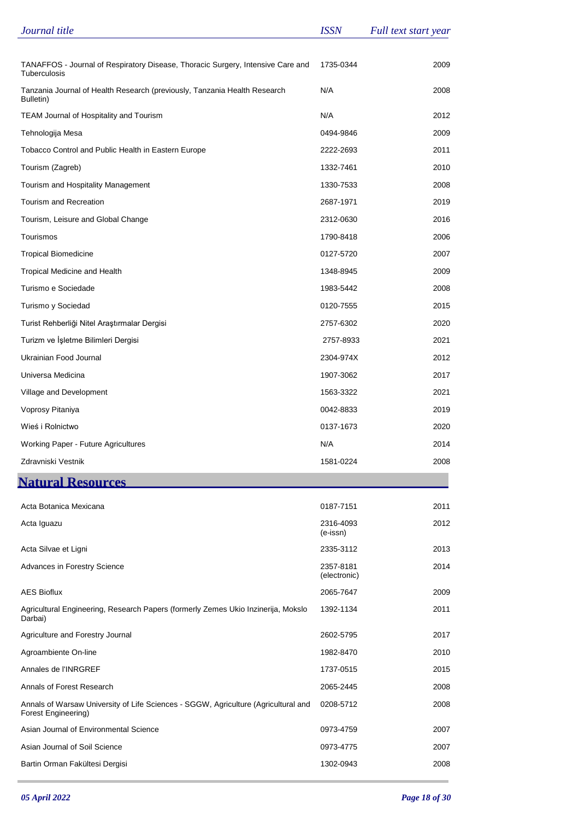| Journal title                                                                                             | <b>ISSN</b>               | Full text start year |
|-----------------------------------------------------------------------------------------------------------|---------------------------|----------------------|
|                                                                                                           |                           |                      |
| TANAFFOS - Journal of Respiratory Disease, Thoracic Surgery, Intensive Care and<br>Tuberculosis           | 1735-0344                 | 2009                 |
| Tanzania Journal of Health Research (previously, Tanzania Health Research<br>Bulletin)                    | N/A                       | 2008                 |
| TEAM Journal of Hospitality and Tourism                                                                   | N/A                       | 2012                 |
| Tehnologija Mesa                                                                                          | 0494-9846                 | 2009                 |
| Tobacco Control and Public Health in Eastern Europe                                                       | 2222-2693                 | 2011                 |
| Tourism (Zagreb)                                                                                          | 1332-7461                 | 2010                 |
| Tourism and Hospitality Management                                                                        | 1330-7533                 | 2008                 |
| Tourism and Recreation                                                                                    | 2687-1971                 | 2019                 |
| Tourism, Leisure and Global Change                                                                        | 2312-0630                 | 2016                 |
| Tourismos                                                                                                 | 1790-8418                 | 2006                 |
| <b>Tropical Biomedicine</b>                                                                               | 0127-5720                 | 2007                 |
| Tropical Medicine and Health                                                                              | 1348-8945                 | 2009                 |
| Turismo e Sociedade                                                                                       | 1983-5442                 | 2008                 |
| Turismo y Sociedad                                                                                        | 0120-7555                 | 2015                 |
| Turist Rehberliği Nitel Araştırmalar Dergisi                                                              | 2757-6302                 | 2020                 |
| Turizm ve İşletme Bilimleri Dergisi                                                                       | 2757-8933                 | 2021                 |
| Ukrainian Food Journal                                                                                    | 2304-974X                 | 2012                 |
| Universa Medicina                                                                                         | 1907-3062                 | 2017                 |
| Village and Development                                                                                   | 1563-3322                 | 2021                 |
| Voprosy Pitaniya                                                                                          | 0042-8833                 | 2019                 |
| Wieś i Rolnictwo                                                                                          | 0137-1673                 | 2020                 |
| <b>Working Paper - Future Agricultures</b>                                                                | N/A                       | 2014                 |
| Zdravniski Vestnik                                                                                        | 1581-0224                 | 2008                 |
| <b>Natural Resources</b>                                                                                  |                           |                      |
| Acta Botanica Mexicana                                                                                    | 0187-7151                 | 2011                 |
| Acta Iguazu                                                                                               | 2316-4093                 | 2012                 |
|                                                                                                           | (e-issn)                  |                      |
| Acta Silvae et Ligni                                                                                      | 2335-3112                 | 2013                 |
| Advances in Forestry Science                                                                              | 2357-8181<br>(electronic) | 2014                 |
| <b>AES Bioflux</b>                                                                                        | 2065-7647                 | 2009                 |
| Agricultural Engineering, Research Papers (formerly Zemes Ukio Inzinerija, Mokslo<br>Darbai)              | 1392-1134                 | 2011                 |
| Agriculture and Forestry Journal                                                                          | 2602-5795                 | 2017                 |
| Agroambiente On-line                                                                                      | 1982-8470                 | 2010                 |
| Annales de l'INRGREF                                                                                      | 1737-0515                 | 2015                 |
| Annals of Forest Research                                                                                 | 2065-2445                 | 2008                 |
| Annals of Warsaw University of Life Sciences - SGGW, Agriculture (Agricultural and<br>Forest Engineering) | 0208-5712                 | 2008                 |
| Asian Journal of Environmental Science                                                                    | 0973-4759                 | 2007                 |
| Asian Journal of Soil Science                                                                             | 0973-4775                 | 2007                 |
| Bartin Orman Fakültesi Dergisi                                                                            | 1302-0943                 | 2008                 |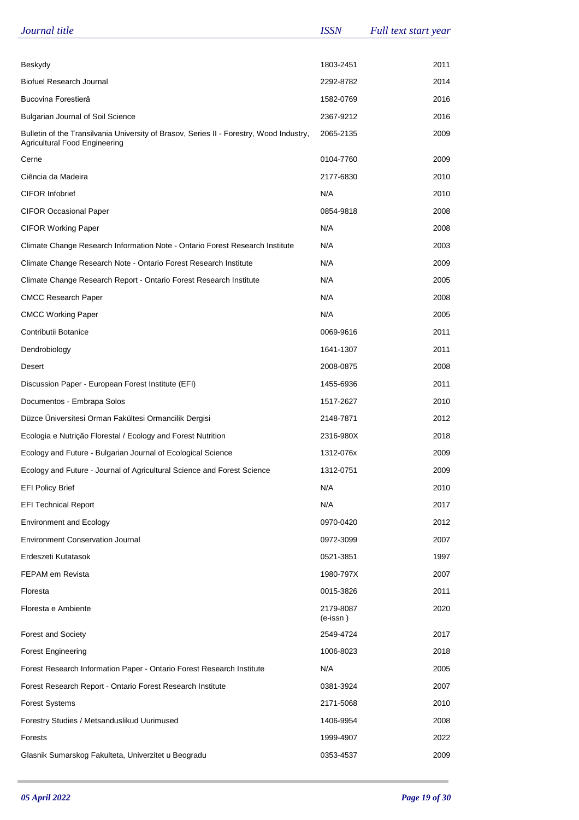| Journal title                                                                                                            | <b>ISSN</b>             | Full text start year |
|--------------------------------------------------------------------------------------------------------------------------|-------------------------|----------------------|
|                                                                                                                          |                         |                      |
| Beskydy                                                                                                                  | 1803-2451               | 2011                 |
| <b>Biofuel Research Journal</b>                                                                                          | 2292-8782               | 2014                 |
| Bucovina Forestieră                                                                                                      | 1582-0769               | 2016                 |
| <b>Bulgarian Journal of Soil Science</b>                                                                                 | 2367-9212               | 2016                 |
| Bulletin of the Transilvania University of Brasov, Series II - Forestry, Wood Industry,<br>Agricultural Food Engineering | 2065-2135               | 2009                 |
| Cerne                                                                                                                    | 0104-7760               | 2009                 |
| Ciência da Madeira                                                                                                       | 2177-6830               | 2010                 |
| <b>CIFOR Infobrief</b>                                                                                                   | N/A                     | 2010                 |
| <b>CIFOR Occasional Paper</b>                                                                                            | 0854-9818               | 2008                 |
| <b>CIFOR Working Paper</b>                                                                                               | N/A                     | 2008                 |
| Climate Change Research Information Note - Ontario Forest Research Institute                                             | N/A                     | 2003                 |
| Climate Change Research Note - Ontario Forest Research Institute                                                         | N/A                     | 2009                 |
| Climate Change Research Report - Ontario Forest Research Institute                                                       | N/A                     | 2005                 |
| <b>CMCC Research Paper</b>                                                                                               | N/A                     | 2008                 |
| <b>CMCC Working Paper</b>                                                                                                | N/A                     | 2005                 |
| Contributii Botanice                                                                                                     | 0069-9616               | 2011                 |
| Dendrobiology                                                                                                            | 1641-1307               | 2011                 |
| Desert                                                                                                                   | 2008-0875               | 2008                 |
| Discussion Paper - European Forest Institute (EFI)                                                                       | 1455-6936               | 2011                 |
| Documentos - Embrapa Solos                                                                                               | 1517-2627               | 2010                 |
| Düzce Üniversitesi Orman Fakültesi Ormancilik Dergisi                                                                    | 2148-7871               | 2012                 |
| Ecologia e Nutrição Florestal / Ecology and Forest Nutrition                                                             | 2316-980X               | 2018                 |
| Ecology and Future - Bulgarian Journal of Ecological Science                                                             | 1312-076x               | 2009                 |
| Ecology and Future - Journal of Agricultural Science and Forest Science                                                  | 1312-0751               | 2009                 |
| <b>EFI Policy Brief</b>                                                                                                  | N/A                     | 2010                 |
| <b>EFI Technical Report</b>                                                                                              | N/A                     | 2017                 |
| <b>Environment and Ecology</b>                                                                                           | 0970-0420               | 2012                 |
| <b>Environment Conservation Journal</b>                                                                                  | 0972-3099               | 2007                 |
| Erdeszeti Kutatasok                                                                                                      | 0521-3851               | 1997                 |
| FEPAM em Revista                                                                                                         | 1980-797X               | 2007                 |
| Floresta                                                                                                                 | 0015-3826               | 2011                 |
| Floresta e Ambiente                                                                                                      | 2179-8087<br>$(e-issn)$ | 2020                 |
| <b>Forest and Society</b>                                                                                                | 2549-4724               | 2017                 |
| <b>Forest Engineering</b>                                                                                                | 1006-8023               | 2018                 |
| Forest Research Information Paper - Ontario Forest Research Institute                                                    | N/A                     | 2005                 |
| Forest Research Report - Ontario Forest Research Institute                                                               | 0381-3924               | 2007                 |
| <b>Forest Systems</b>                                                                                                    | 2171-5068               | 2010                 |
| Forestry Studies / Metsanduslikud Uurimused                                                                              | 1406-9954               | 2008                 |
| Forests                                                                                                                  | 1999-4907               | 2022                 |
| Glasnik Sumarskog Fakulteta, Univerzitet u Beogradu                                                                      | 0353-4537               | 2009                 |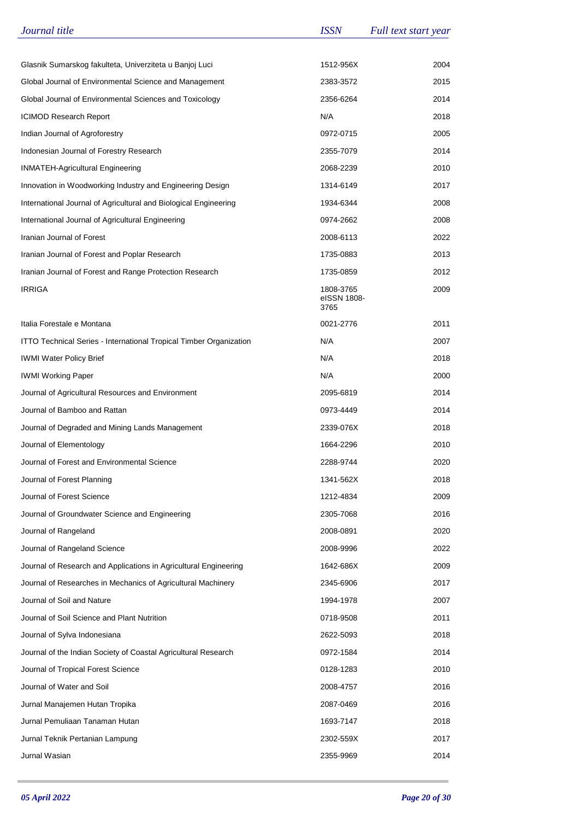| Journal title                                                      | <b>ISSN</b>                      | Full text start year |
|--------------------------------------------------------------------|----------------------------------|----------------------|
|                                                                    |                                  |                      |
| Glasnik Sumarskog fakulteta, Univerziteta u Banjoj Luci            | 1512-956X                        | 2004                 |
| Global Journal of Environmental Science and Management             | 2383-3572                        | 2015                 |
| Global Journal of Environmental Sciences and Toxicology            | 2356-6264                        | 2014                 |
| <b>ICIMOD Research Report</b>                                      | N/A                              | 2018                 |
| Indian Journal of Agroforestry                                     | 0972-0715                        | 2005                 |
| Indonesian Journal of Forestry Research                            | 2355-7079                        | 2014                 |
| <b>INMATEH-Agricultural Engineering</b>                            | 2068-2239                        | 2010                 |
| Innovation in Woodworking Industry and Engineering Design          | 1314-6149                        | 2017                 |
| International Journal of Agricultural and Biological Engineering   | 1934-6344                        | 2008                 |
| International Journal of Agricultural Engineering                  | 0974-2662                        | 2008                 |
| Iranian Journal of Forest                                          | 2008-6113                        | 2022                 |
| Iranian Journal of Forest and Poplar Research                      | 1735-0883                        | 2013                 |
| Iranian Journal of Forest and Range Protection Research            | 1735-0859                        | 2012                 |
| IRRIGA                                                             | 1808-3765<br>eISSN 1808-<br>3765 | 2009                 |
| Italia Forestale e Montana                                         | 0021-2776                        | 2011                 |
| ITTO Technical Series - International Tropical Timber Organization | N/A                              | 2007                 |
| <b>IWMI Water Policy Brief</b>                                     | N/A                              | 2018                 |
| <b>IWMI Working Paper</b>                                          | N/A                              | 2000                 |
| Journal of Agricultural Resources and Environment                  | 2095-6819                        | 2014                 |
| Journal of Bamboo and Rattan                                       | 0973-4449                        | 2014                 |
| Journal of Degraded and Mining Lands Management                    | 2339-076X                        | 2018                 |
| Journal of Elementology                                            | 1664-2296                        | 2010                 |
| Journal of Forest and Environmental Science                        | 2288-9744                        | 2020                 |
| Journal of Forest Planning                                         | 1341-562X                        | 2018                 |
| Journal of Forest Science                                          | 1212-4834                        | 2009                 |
| Journal of Groundwater Science and Engineering                     | 2305-7068                        | 2016                 |
| Journal of Rangeland                                               | 2008-0891                        | 2020                 |
| Journal of Rangeland Science                                       | 2008-9996                        | 2022                 |
| Journal of Research and Applications in Agricultural Engineering   | 1642-686X                        | 2009                 |
| Journal of Researches in Mechanics of Agricultural Machinery       | 2345-6906                        | 2017                 |
| Journal of Soil and Nature                                         | 1994-1978                        | 2007                 |
| Journal of Soil Science and Plant Nutrition                        | 0718-9508                        | 2011                 |
| Journal of Sylva Indonesiana                                       | 2622-5093                        | 2018                 |
| Journal of the Indian Society of Coastal Agricultural Research     | 0972-1584                        | 2014                 |
| Journal of Tropical Forest Science                                 | 0128-1283                        | 2010                 |
| Journal of Water and Soil                                          | 2008-4757                        | 2016                 |
| Jurnal Manajemen Hutan Tropika                                     | 2087-0469                        | 2016                 |
| Jurnal Pemuliaan Tanaman Hutan                                     | 1693-7147                        | 2018                 |
| Jurnal Teknik Pertanian Lampung                                    | 2302-559X                        | 2017                 |
| Jurnal Wasian                                                      | 2355-9969                        | 2014                 |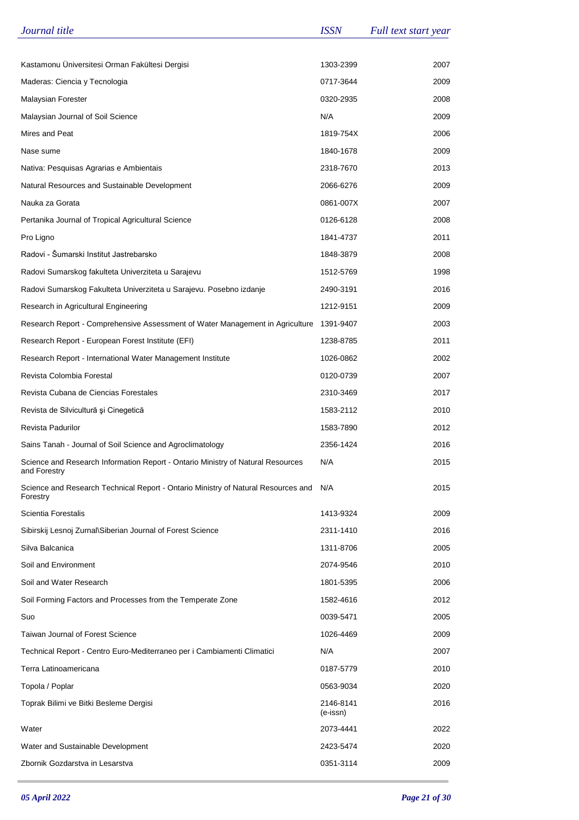| Journal title                                                                                   | <b>ISSN</b>           | Full text start year |
|-------------------------------------------------------------------------------------------------|-----------------------|----------------------|
|                                                                                                 |                       |                      |
| Kastamonu Üniversitesi Orman Fakültesi Dergisi                                                  | 1303-2399             | 2007                 |
| Maderas: Ciencia y Tecnologia                                                                   | 0717-3644             | 2009                 |
| Malaysian Forester                                                                              | 0320-2935             | 2008                 |
| Malaysian Journal of Soil Science                                                               | N/A                   | 2009                 |
| Mires and Peat                                                                                  | 1819-754X             | 2006                 |
| Nase sume                                                                                       | 1840-1678             | 2009                 |
| Nativa: Pesquisas Agrarias e Ambientais                                                         | 2318-7670             | 2013                 |
| Natural Resources and Sustainable Development                                                   | 2066-6276             | 2009                 |
| Nauka za Gorata                                                                                 | 0861-007X             | 2007                 |
| Pertanika Journal of Tropical Agricultural Science                                              | 0126-6128             | 2008                 |
| Pro Ligno                                                                                       | 1841-4737             | 2011                 |
| Radovi - Šumarski Institut Jastrebarsko                                                         | 1848-3879             | 2008                 |
| Radovi Sumarskog fakulteta Univerziteta u Sarajevu                                              | 1512-5769             | 1998                 |
| Radovi Sumarskog Fakulteta Univerziteta u Sarajevu. Posebno izdanje                             | 2490-3191             | 2016                 |
| Research in Agricultural Engineering                                                            | 1212-9151             | 2009                 |
| Research Report - Comprehensive Assessment of Water Management in Agriculture                   | 1391-9407             | 2003                 |
| Research Report - European Forest Institute (EFI)                                               | 1238-8785             | 2011                 |
| Research Report - International Water Management Institute                                      | 1026-0862             | 2002                 |
| Revista Colombia Forestal                                                                       | 0120-0739             | 2007                 |
| Revista Cubana de Ciencias Forestales                                                           | 2310-3469             | 2017                 |
| Revista de Silvicultură și Cinegetică                                                           | 1583-2112             | 2010                 |
| Revista Padurilor                                                                               | 1583-7890             | 2012                 |
| Sains Tanah - Journal of Soil Science and Agroclimatology                                       | 2356-1424             | 2016                 |
| Science and Research Information Report - Ontario Ministry of Natural Resources<br>and Forestry | N/A                   | 2015                 |
| Science and Research Technical Report - Ontario Ministry of Natural Resources and<br>Forestry   | N/A                   | 2015                 |
| Scientia Forestalis                                                                             | 1413-9324             | 2009                 |
| Sibirskij Lesnoj Zurnal\Siberian Journal of Forest Science                                      | 2311-1410             | 2016                 |
| Silva Balcanica                                                                                 | 1311-8706             | 2005                 |
| Soil and Environment                                                                            | 2074-9546             | 2010                 |
| Soil and Water Research                                                                         | 1801-5395             | 2006                 |
| Soil Forming Factors and Processes from the Temperate Zone                                      | 1582-4616             | 2012                 |
| Suo                                                                                             | 0039-5471             | 2005                 |
| <b>Taiwan Journal of Forest Science</b>                                                         | 1026-4469             | 2009                 |
| Technical Report - Centro Euro-Mediterraneo per i Cambiamenti Climatici                         | N/A                   | 2007                 |
| Terra Latinoamericana                                                                           | 0187-5779             | 2010                 |
| Topola / Poplar                                                                                 | 0563-9034             | 2020                 |
| Toprak Bilimi ve Bitki Besleme Dergisi                                                          | 2146-8141<br>(e-issn) | 2016                 |
| Water                                                                                           | 2073-4441             | 2022                 |
| Water and Sustainable Development                                                               | 2423-5474             | 2020                 |
| Zbornik Gozdarstva in Lesarstva                                                                 | 0351-3114             | 2009                 |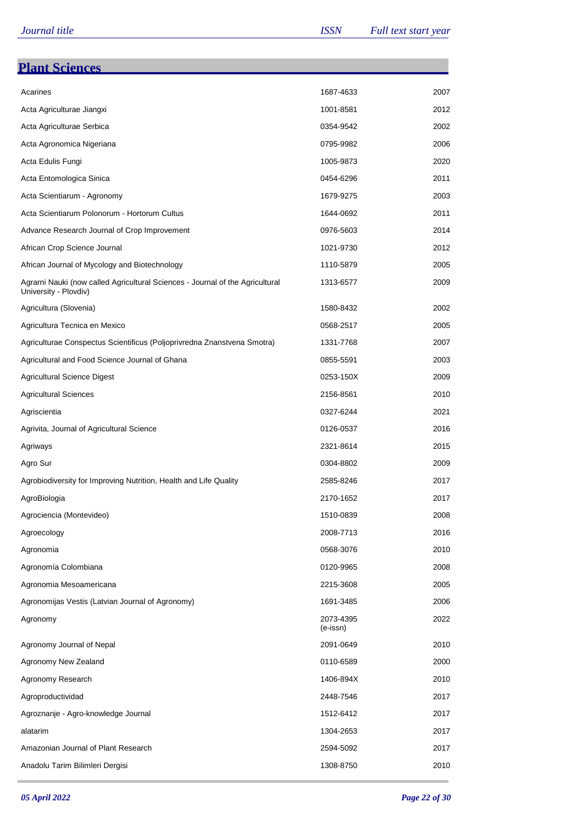| <b>Plant Sciences</b>                                                                                  |                       |      |
|--------------------------------------------------------------------------------------------------------|-----------------------|------|
| Acarines                                                                                               | 1687-4633             | 2007 |
| Acta Agriculturae Jiangxi                                                                              | 1001-8581             | 2012 |
| Acta Agriculturae Serbica                                                                              | 0354-9542             | 2002 |
| Acta Agronomica Nigeriana                                                                              | 0795-9982             | 2006 |
| Acta Edulis Fungi                                                                                      | 1005-9873             | 2020 |
| Acta Entomologica Sinica                                                                               | 0454-6296             | 2011 |
| Acta Scientiarum - Agronomy                                                                            | 1679-9275             | 2003 |
| Acta Scientiarum Polonorum - Hortorum Cultus                                                           | 1644-0692             | 2011 |
| Advance Research Journal of Crop Improvement                                                           | 0976-5603             | 2014 |
| African Crop Science Journal                                                                           | 1021-9730             | 2012 |
| African Journal of Mycology and Biotechnology                                                          | 1110-5879             | 2005 |
| Agrarni Nauki (now called Agricultural Sciences - Journal of the Agricultural<br>University - Plovdiv) | 1313-6577             | 2009 |
| Agricultura (Slovenia)                                                                                 | 1580-8432             | 2002 |
| Agricultura Tecnica en Mexico                                                                          | 0568-2517             | 2005 |
| Agriculturae Conspectus Scientificus (Poljoprivredna Znanstvena Smotra)                                | 1331-7768             | 2007 |
| Agricultural and Food Science Journal of Ghana                                                         | 0855-5591             | 2003 |
| <b>Agricultural Science Digest</b>                                                                     | 0253-150X             | 2009 |
| <b>Agricultural Sciences</b>                                                                           | 2156-8561             | 2010 |
| Agriscientia                                                                                           | 0327-6244             | 2021 |
| Agrivita, Journal of Agricultural Science                                                              | 0126-0537             | 2016 |
| Agriways                                                                                               | 2321-8614             | 2015 |
| Agro Sur                                                                                               | 0304-8802             | 2009 |
| Agrobiodiversity for Improving Nutrition, Health and Life Quality                                      | 2585-8246             | 2017 |
| AgroBiologia                                                                                           | 2170-1652             | 2017 |
| Agrociencia (Montevideo)                                                                               | 1510-0839             | 2008 |
| Agroecology                                                                                            | 2008-7713             | 2016 |
| Agronomia                                                                                              | 0568-3076             | 2010 |
| Agronomía Colombiana                                                                                   | 0120-9965             | 2008 |
| Agronomia Mesoamericana                                                                                | 2215-3608             | 2005 |
| Agronomijas Vestis (Latvian Journal of Agronomy)                                                       | 1691-3485             | 2006 |
| Agronomy                                                                                               | 2073-4395<br>(e-issn) | 2022 |
| Agronomy Journal of Nepal                                                                              | 2091-0649             | 2010 |
| Agronomy New Zealand                                                                                   | 0110-6589             | 2000 |
| Agronomy Research                                                                                      | 1406-894X             | 2010 |
| Agroproductividad                                                                                      | 2448-7546             | 2017 |
| Agroznanje - Agro-knowledge Journal                                                                    | 1512-6412             | 2017 |
| alatarim                                                                                               | 1304-2653             | 2017 |
| Amazonian Journal of Plant Research                                                                    | 2594-5092             | 2017 |
| Anadolu Tarim Bilimleri Dergisi                                                                        | 1308-8750             | 2010 |

÷.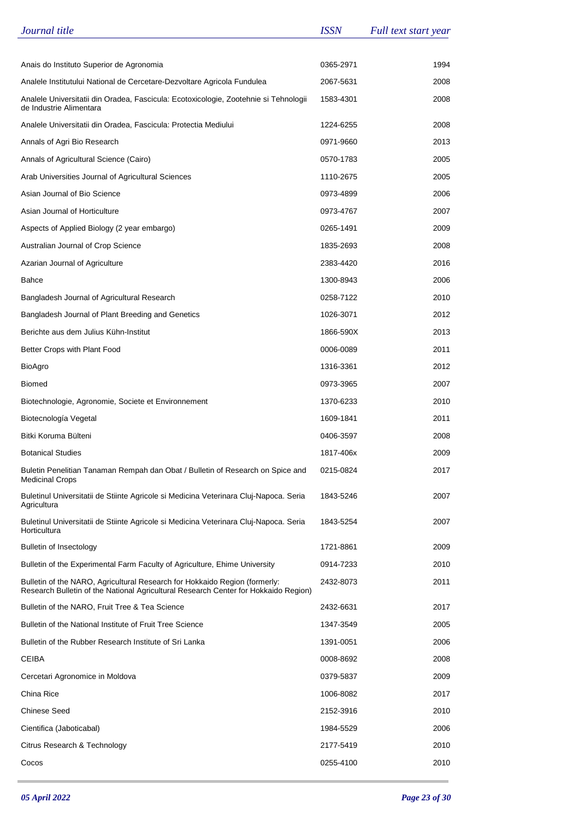| Journal title                                                                                                                                                     | <b>ISSN</b> | Full text start year |
|-------------------------------------------------------------------------------------------------------------------------------------------------------------------|-------------|----------------------|
|                                                                                                                                                                   |             |                      |
| Anais do Instituto Superior de Agronomia                                                                                                                          | 0365-2971   | 1994                 |
| Analele Institutului National de Cercetare-Dezvoltare Agricola Fundulea                                                                                           | 2067-5631   | 2008                 |
| Analele Universitatii din Oradea, Fascicula: Ecotoxicologie, Zootehnie si Tehnologii<br>de Industrie Alimentara                                                   | 1583-4301   | 2008                 |
| Analele Universitatii din Oradea, Fascicula: Protectia Mediului                                                                                                   | 1224-6255   | 2008                 |
| Annals of Agri Bio Research                                                                                                                                       | 0971-9660   | 2013                 |
| Annals of Agricultural Science (Cairo)                                                                                                                            | 0570-1783   | 2005                 |
| Arab Universities Journal of Agricultural Sciences                                                                                                                | 1110-2675   | 2005                 |
| Asian Journal of Bio Science                                                                                                                                      | 0973-4899   | 2006                 |
| Asian Journal of Horticulture                                                                                                                                     | 0973-4767   | 2007                 |
| Aspects of Applied Biology (2 year embargo)                                                                                                                       | 0265-1491   | 2009                 |
| Australian Journal of Crop Science                                                                                                                                | 1835-2693   | 2008                 |
| Azarian Journal of Agriculture                                                                                                                                    | 2383-4420   | 2016                 |
| <b>Bahce</b>                                                                                                                                                      | 1300-8943   | 2006                 |
| Bangladesh Journal of Agricultural Research                                                                                                                       | 0258-7122   | 2010                 |
| Bangladesh Journal of Plant Breeding and Genetics                                                                                                                 | 1026-3071   | 2012                 |
| Berichte aus dem Julius Kühn-Institut                                                                                                                             | 1866-590X   | 2013                 |
| Better Crops with Plant Food                                                                                                                                      | 0006-0089   | 2011                 |
| <b>BioAgro</b>                                                                                                                                                    | 1316-3361   | 2012                 |
| <b>Biomed</b>                                                                                                                                                     | 0973-3965   | 2007                 |
| Biotechnologie, Agronomie, Societe et Environnement                                                                                                               | 1370-6233   | 2010                 |
| Biotecnología Vegetal                                                                                                                                             | 1609-1841   | 2011                 |
| Bitki Koruma Bülteni                                                                                                                                              | 0406-3597   | 2008                 |
| <b>Botanical Studies</b>                                                                                                                                          | 1817-406x   | 2009                 |
| Buletin Penelitian Tanaman Rempah dan Obat / Bulletin of Research on Spice and<br><b>Medicinal Crops</b>                                                          | 0215-0824   | 2017                 |
| Buletinul Universitatii de Stiinte Agricole si Medicina Veterinara Cluj-Napoca. Seria<br>Agricultura                                                              | 1843-5246   | 2007                 |
| Buletinul Universitatii de Stiinte Agricole si Medicina Veterinara Cluj-Napoca. Seria<br>Horticultura                                                             | 1843-5254   | 2007                 |
| <b>Bulletin of Insectology</b>                                                                                                                                    | 1721-8861   | 2009                 |
| Bulletin of the Experimental Farm Faculty of Agriculture, Ehime University                                                                                        | 0914-7233   | 2010                 |
| Bulletin of the NARO, Agricultural Research for Hokkaido Region (formerly:<br>Research Bulletin of the National Agricultural Research Center for Hokkaido Region) | 2432-8073   | 2011                 |
| Bulletin of the NARO, Fruit Tree & Tea Science                                                                                                                    | 2432-6631   | 2017                 |
| Bulletin of the National Institute of Fruit Tree Science                                                                                                          | 1347-3549   | 2005                 |
| Bulletin of the Rubber Research Institute of Sri Lanka                                                                                                            | 1391-0051   | 2006                 |
| CEIBA                                                                                                                                                             | 0008-8692   | 2008                 |
| Cercetari Agronomice in Moldova                                                                                                                                   | 0379-5837   | 2009                 |
| China Rice                                                                                                                                                        | 1006-8082   | 2017                 |
| <b>Chinese Seed</b>                                                                                                                                               | 2152-3916   | 2010                 |
| Cientifica (Jaboticabal)                                                                                                                                          | 1984-5529   | 2006                 |
| Citrus Research & Technology                                                                                                                                      | 2177-5419   | 2010                 |
| Cocos                                                                                                                                                             | 0255-4100   | 2010                 |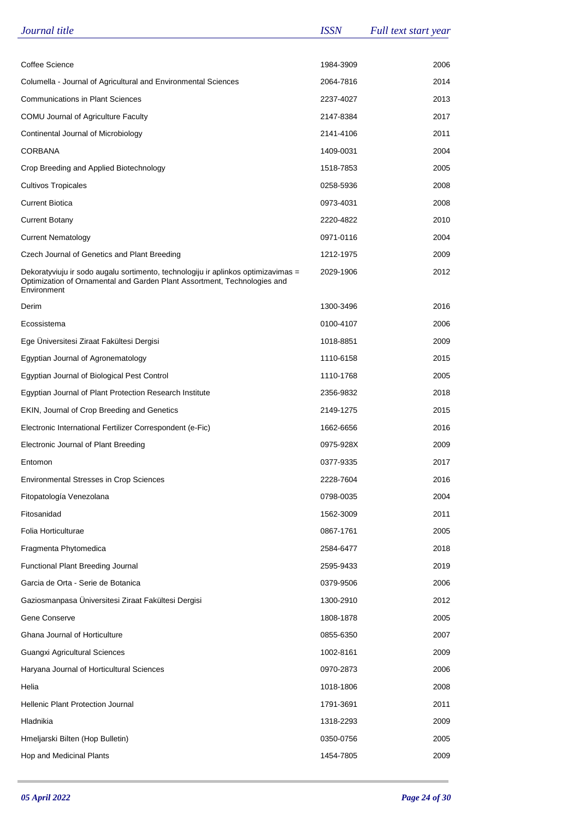| Journal title                                                                                                                                                                | <b>ISSN</b> | Full text start year |
|------------------------------------------------------------------------------------------------------------------------------------------------------------------------------|-------------|----------------------|
|                                                                                                                                                                              |             |                      |
| Coffee Science                                                                                                                                                               | 1984-3909   | 2006                 |
| Columella - Journal of Agricultural and Environmental Sciences                                                                                                               | 2064-7816   | 2014                 |
| <b>Communications in Plant Sciences</b>                                                                                                                                      | 2237-4027   | 2013                 |
| COMU Journal of Agriculture Faculty                                                                                                                                          | 2147-8384   | 2017                 |
| Continental Journal of Microbiology                                                                                                                                          | 2141-4106   | 2011                 |
| CORBANA                                                                                                                                                                      | 1409-0031   | 2004                 |
| Crop Breeding and Applied Biotechnology                                                                                                                                      | 1518-7853   | 2005                 |
| <b>Cultivos Tropicales</b>                                                                                                                                                   | 0258-5936   | 2008                 |
| Current Biotica                                                                                                                                                              | 0973-4031   | 2008                 |
| <b>Current Botany</b>                                                                                                                                                        | 2220-4822   | 2010                 |
| <b>Current Nematology</b>                                                                                                                                                    | 0971-0116   | 2004                 |
| Czech Journal of Genetics and Plant Breeding                                                                                                                                 | 1212-1975   | 2009                 |
| Dekoratyviuju ir sodo augalu sortimento, technologiju ir aplinkos optimizavimas =<br>Optimization of Ornamental and Garden Plant Assortment, Technologies and<br>Environment | 2029-1906   | 2012                 |
| Derim                                                                                                                                                                        | 1300-3496   | 2016                 |
| Ecossistema                                                                                                                                                                  | 0100-4107   | 2006                 |
| Ege Üniversitesi Ziraat Fakültesi Dergisi                                                                                                                                    | 1018-8851   | 2009                 |
| Egyptian Journal of Agronematology                                                                                                                                           | 1110-6158   | 2015                 |
| Egyptian Journal of Biological Pest Control                                                                                                                                  | 1110-1768   | 2005                 |
| Egyptian Journal of Plant Protection Research Institute                                                                                                                      | 2356-9832   | 2018                 |
| EKIN, Journal of Crop Breeding and Genetics                                                                                                                                  | 2149-1275   | 2015                 |
| Electronic International Fertilizer Correspondent (e-Fic)                                                                                                                    | 1662-6656   | 2016                 |
| Electronic Journal of Plant Breeding                                                                                                                                         | 0975-928X   | 2009                 |
| Entomon                                                                                                                                                                      | 0377-9335   | 2017                 |
| Environmental Stresses in Crop Sciences                                                                                                                                      | 2228-7604   | 2016                 |
| Fitopatología Venezolana                                                                                                                                                     | 0798-0035   | 2004                 |
| Fitosanidad                                                                                                                                                                  | 1562-3009   | 2011                 |
| Folia Horticulturae                                                                                                                                                          | 0867-1761   | 2005                 |
| Fragmenta Phytomedica                                                                                                                                                        | 2584-6477   | 2018                 |
| Functional Plant Breeding Journal                                                                                                                                            | 2595-9433   | 2019                 |
| Garcia de Orta - Serie de Botanica                                                                                                                                           | 0379-9506   | 2006                 |
| Gaziosmanpasa Üniversitesi Ziraat Fakültesi Dergisi                                                                                                                          | 1300-2910   | 2012                 |
| Gene Conserve                                                                                                                                                                | 1808-1878   | 2005                 |
| Ghana Journal of Horticulture                                                                                                                                                | 0855-6350   | 2007                 |
| Guangxi Agricultural Sciences                                                                                                                                                | 1002-8161   | 2009                 |
| Haryana Journal of Horticultural Sciences                                                                                                                                    | 0970-2873   | 2006                 |
| Helia                                                                                                                                                                        | 1018-1806   | 2008                 |
| Hellenic Plant Protection Journal                                                                                                                                            | 1791-3691   | 2011                 |
| Hladnikia                                                                                                                                                                    | 1318-2293   | 2009                 |
| Hmeljarski Bilten (Hop Bulletin)                                                                                                                                             | 0350-0756   | 2005                 |
| Hop and Medicinal Plants                                                                                                                                                     | 1454-7805   | 2009                 |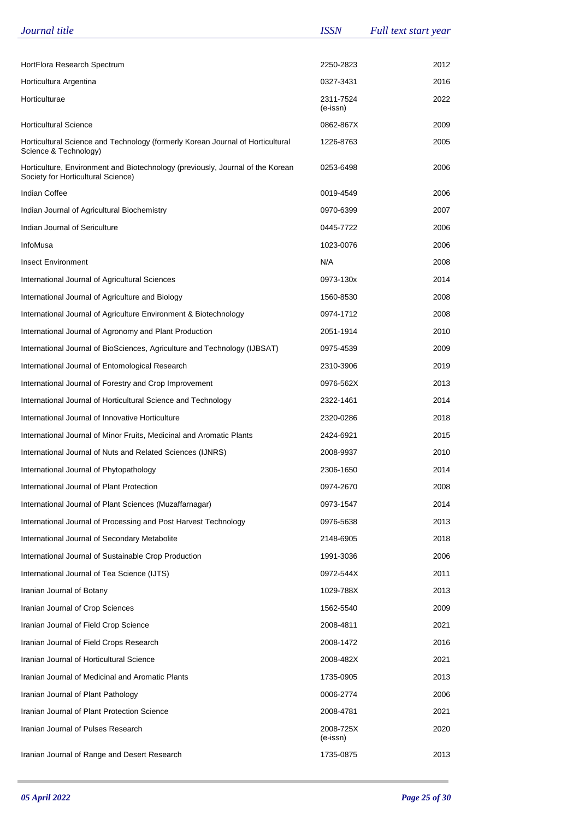| Journal title                                                                                                        | <b>ISSN</b>           | Full text start year |
|----------------------------------------------------------------------------------------------------------------------|-----------------------|----------------------|
|                                                                                                                      |                       |                      |
| HortFlora Research Spectrum                                                                                          | 2250-2823             | 2012                 |
| Horticultura Argentina                                                                                               | 0327-3431             | 2016                 |
| Horticulturae                                                                                                        | 2311-7524<br>(e-issn) | 2022                 |
| <b>Horticultural Science</b>                                                                                         | 0862-867X             | 2009                 |
| Horticultural Science and Technology (formerly Korean Journal of Horticultural<br>Science & Technology)              | 1226-8763             | 2005                 |
| Horticulture, Environment and Biotechnology (previously, Journal of the Korean<br>Society for Horticultural Science) | 0253-6498             | 2006                 |
| Indian Coffee                                                                                                        | 0019-4549             | 2006                 |
| Indian Journal of Agricultural Biochemistry                                                                          | 0970-6399             | 2007                 |
| Indian Journal of Sericulture                                                                                        | 0445-7722             | 2006                 |
| InfoMusa                                                                                                             | 1023-0076             | 2006                 |
| <b>Insect Environment</b>                                                                                            | N/A                   | 2008                 |
| International Journal of Agricultural Sciences                                                                       | 0973-130x             | 2014                 |
| International Journal of Agriculture and Biology                                                                     | 1560-8530             | 2008                 |
| International Journal of Agriculture Environment & Biotechnology                                                     | 0974-1712             | 2008                 |
| International Journal of Agronomy and Plant Production                                                               | 2051-1914             | 2010                 |
| International Journal of BioSciences, Agriculture and Technology (IJBSAT)                                            | 0975-4539             | 2009                 |
| International Journal of Entomological Research                                                                      | 2310-3906             | 2019                 |
| International Journal of Forestry and Crop Improvement                                                               | 0976-562X             | 2013                 |
| International Journal of Horticultural Science and Technology                                                        | 2322-1461             | 2014                 |
| International Journal of Innovative Horticulture                                                                     | 2320-0286             | 2018                 |
| International Journal of Minor Fruits, Medicinal and Aromatic Plants                                                 | 2424-6921             | 2015                 |
| International Journal of Nuts and Related Sciences (IJNRS)                                                           | 2008-9937             | 2010                 |
| International Journal of Phytopathology                                                                              | 2306-1650             | 2014                 |
| International Journal of Plant Protection                                                                            | 0974-2670             | 2008                 |
| International Journal of Plant Sciences (Muzaffarnagar)                                                              | 0973-1547             | 2014                 |
| International Journal of Processing and Post Harvest Technology                                                      | 0976-5638             | 2013                 |
| International Journal of Secondary Metabolite                                                                        | 2148-6905             | 2018                 |
| International Journal of Sustainable Crop Production                                                                 | 1991-3036             | 2006                 |
| International Journal of Tea Science (IJTS)                                                                          | 0972-544X             | 2011                 |
| Iranian Journal of Botany                                                                                            | 1029-788X             | 2013                 |
| Iranian Journal of Crop Sciences                                                                                     | 1562-5540             | 2009                 |
| Iranian Journal of Field Crop Science                                                                                | 2008-4811             | 2021                 |
| Iranian Journal of Field Crops Research                                                                              | 2008-1472             | 2016                 |
| Iranian Journal of Horticultural Science                                                                             | 2008-482X             | 2021                 |
| Iranian Journal of Medicinal and Aromatic Plants                                                                     | 1735-0905             | 2013                 |
| Iranian Journal of Plant Pathology                                                                                   | 0006-2774             | 2006                 |
| Iranian Journal of Plant Protection Science                                                                          | 2008-4781             | 2021                 |
| Iranian Journal of Pulses Research                                                                                   | 2008-725X<br>(e-issn) | 2020                 |
| Iranian Journal of Range and Desert Research                                                                         | 1735-0875             | 2013                 |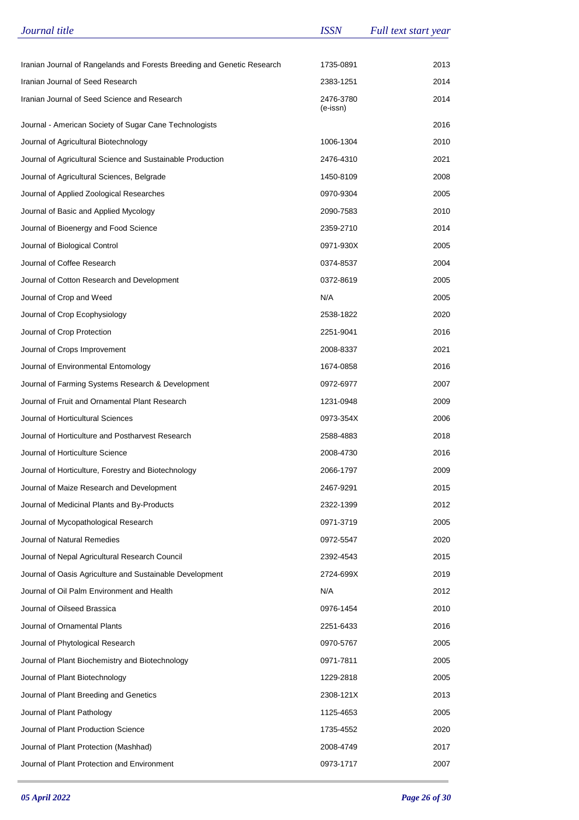| Journal title                                                           | <b>ISSN</b>           | Full text start year |
|-------------------------------------------------------------------------|-----------------------|----------------------|
|                                                                         |                       |                      |
| Iranian Journal of Rangelands and Forests Breeding and Genetic Research | 1735-0891             | 2013                 |
| Iranian Journal of Seed Research                                        | 2383-1251             | 2014                 |
| Iranian Journal of Seed Science and Research                            | 2476-3780<br>(e-issn) | 2014                 |
| Journal - American Society of Sugar Cane Technologists                  |                       | 2016                 |
| Journal of Agricultural Biotechnology                                   | 1006-1304             | 2010                 |
| Journal of Agricultural Science and Sustainable Production              | 2476-4310             | 2021                 |
| Journal of Agricultural Sciences, Belgrade                              | 1450-8109             | 2008                 |
| Journal of Applied Zoological Researches                                | 0970-9304             | 2005                 |
| Journal of Basic and Applied Mycology                                   | 2090-7583             | 2010                 |
| Journal of Bioenergy and Food Science                                   | 2359-2710             | 2014                 |
| Journal of Biological Control                                           | 0971-930X             | 2005                 |
| Journal of Coffee Research                                              | 0374-8537             | 2004                 |
| Journal of Cotton Research and Development                              | 0372-8619             | 2005                 |
| Journal of Crop and Weed                                                | N/A                   | 2005                 |
| Journal of Crop Ecophysiology                                           | 2538-1822             | 2020                 |
| Journal of Crop Protection                                              | 2251-9041             | 2016                 |
| Journal of Crops Improvement                                            | 2008-8337             | 2021                 |
| Journal of Environmental Entomology                                     | 1674-0858             | 2016                 |
| Journal of Farming Systems Research & Development                       | 0972-6977             | 2007                 |
| Journal of Fruit and Ornamental Plant Research                          | 1231-0948             | 2009                 |
| Journal of Horticultural Sciences                                       | 0973-354X             | 2006                 |
| Journal of Horticulture and Postharvest Research                        | 2588-4883             | 2018                 |
| Journal of Horticulture Science                                         | 2008-4730             | 2016                 |
| Journal of Horticulture, Forestry and Biotechnology                     | 2066-1797             | 2009                 |
| Journal of Maize Research and Development                               | 2467-9291             | 2015                 |
| Journal of Medicinal Plants and By-Products                             | 2322-1399             | 2012                 |
| Journal of Mycopathological Research                                    | 0971-3719             | 2005                 |
| Journal of Natural Remedies                                             | 0972-5547             | 2020                 |
| Journal of Nepal Agricultural Research Council                          | 2392-4543             | 2015                 |
| Journal of Oasis Agriculture and Sustainable Development                | 2724-699X             | 2019                 |
| Journal of Oil Palm Environment and Health                              | N/A                   | 2012                 |
| Journal of Oilseed Brassica                                             | 0976-1454             | 2010                 |
| Journal of Ornamental Plants                                            | 2251-6433             | 2016                 |
| Journal of Phytological Research                                        | 0970-5767             | 2005                 |
| Journal of Plant Biochemistry and Biotechnology                         | 0971-7811             | 2005                 |
| Journal of Plant Biotechnology                                          | 1229-2818             | 2005                 |
| Journal of Plant Breeding and Genetics                                  | 2308-121X             | 2013                 |
| Journal of Plant Pathology                                              | 1125-4653             | 2005                 |
| Journal of Plant Production Science                                     | 1735-4552             | 2020                 |
| Journal of Plant Protection (Mashhad)                                   | 2008-4749             | 2017                 |
| Journal of Plant Protection and Environment                             | 0973-1717             | 2007                 |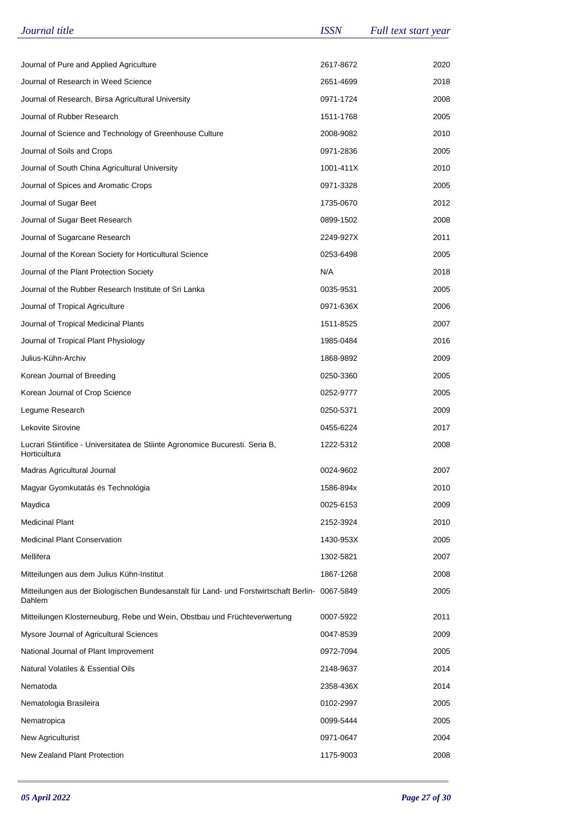| Journal title                                                                                   | <b>ISSN</b> | Full text start year |
|-------------------------------------------------------------------------------------------------|-------------|----------------------|
|                                                                                                 |             |                      |
| Journal of Pure and Applied Agriculture                                                         | 2617-8672   | 2020                 |
| Journal of Research in Weed Science                                                             | 2651-4699   | 2018                 |
| Journal of Research, Birsa Agricultural University                                              | 0971-1724   | 2008                 |
| Journal of Rubber Research                                                                      | 1511-1768   | 2005                 |
| Journal of Science and Technology of Greenhouse Culture                                         | 2008-9082   | 2010                 |
| Journal of Soils and Crops                                                                      | 0971-2836   | 2005                 |
| Journal of South China Agricultural University                                                  | 1001-411X   | 2010                 |
| Journal of Spices and Aromatic Crops                                                            | 0971-3328   | 2005                 |
| Journal of Sugar Beet                                                                           | 1735-0670   | 2012                 |
| Journal of Sugar Beet Research                                                                  | 0899-1502   | 2008                 |
| Journal of Sugarcane Research                                                                   | 2249-927X   | 2011                 |
| Journal of the Korean Society for Horticultural Science                                         | 0253-6498   | 2005                 |
| Journal of the Plant Protection Society                                                         | N/A         | 2018                 |
| Journal of the Rubber Research Institute of Sri Lanka                                           | 0035-9531   | 2005                 |
| Journal of Tropical Agriculture                                                                 | 0971-636X   | 2006                 |
| Journal of Tropical Medicinal Plants                                                            | 1511-8525   | 2007                 |
| Journal of Tropical Plant Physiology                                                            | 1985-0484   | 2016                 |
| Julius-Kühn-Archiv                                                                              | 1868-9892   | 2009                 |
| Korean Journal of Breeding                                                                      | 0250-3360   | 2005                 |
| Korean Journal of Crop Science                                                                  | 0252-9777   | 2005                 |
| Legume Research                                                                                 | 0250-5371   | 2009                 |
| Lekovite Sirovine                                                                               | 0455-6224   | 2017                 |
| Lucrari Stiintifice - Universitatea de Stiinte Agronomice Bucuresti. Seria B,<br>Horticultura   | 1222-5312   | 2008                 |
| Madras Agricultural Journal                                                                     | 0024-9602   | 2007                 |
| Magyar Gyomkutatás és Technológia                                                               | 1586-894x   | 2010                 |
| Maydica                                                                                         | 0025-6153   | 2009                 |
| <b>Medicinal Plant</b>                                                                          | 2152-3924   | 2010                 |
| <b>Medicinal Plant Conservation</b>                                                             | 1430-953X   | 2005                 |
| Mellifera                                                                                       | 1302-5821   | 2007                 |
| Mitteilungen aus dem Julius Kühn-Institut                                                       | 1867-1268   | 2008                 |
| Mitteilungen aus der Biologischen Bundesanstalt für Land- und Forstwirtschaft Berlin-<br>Dahlem | 0067-5849   | 2005                 |
| Mitteilungen Klosterneuburg, Rebe und Wein, Obstbau und Früchteverwertung                       | 0007-5922   | 2011                 |
| Mysore Journal of Agricultural Sciences                                                         | 0047-8539   | 2009                 |
| National Journal of Plant Improvement                                                           | 0972-7094   | 2005                 |
| <b>Natural Volatiles &amp; Essential Oils</b>                                                   | 2148-9637   | 2014                 |
| Nematoda                                                                                        | 2358-436X   | 2014                 |
| Nematologia Brasileira                                                                          | 0102-2997   | 2005                 |
| Nematropica                                                                                     | 0099-5444   | 2005                 |
| <b>New Agriculturist</b>                                                                        | 0971-0647   | 2004                 |
| New Zealand Plant Protection                                                                    | 1175-9003   | 2008                 |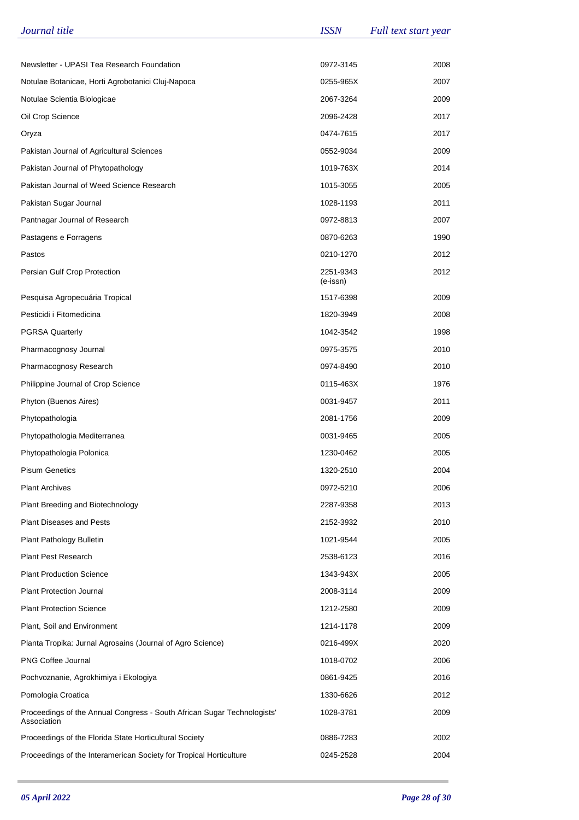| Journal title                                                                          | <b>ISSN</b>           | Full text start year |
|----------------------------------------------------------------------------------------|-----------------------|----------------------|
|                                                                                        |                       |                      |
| Newsletter - UPASI Tea Research Foundation                                             | 0972-3145             | 2008                 |
| Notulae Botanicae, Horti Agrobotanici Cluj-Napoca                                      | 0255-965X             | 2007                 |
| Notulae Scientia Biologicae                                                            | 2067-3264             | 2009                 |
| Oil Crop Science                                                                       | 2096-2428             | 2017                 |
| Oryza                                                                                  | 0474-7615             | 2017                 |
| Pakistan Journal of Agricultural Sciences                                              | 0552-9034             | 2009                 |
| Pakistan Journal of Phytopathology                                                     | 1019-763X             | 2014                 |
| Pakistan Journal of Weed Science Research                                              | 1015-3055             | 2005                 |
| Pakistan Sugar Journal                                                                 | 1028-1193             | 2011                 |
| Pantnagar Journal of Research                                                          | 0972-8813             | 2007                 |
| Pastagens e Forragens                                                                  | 0870-6263             | 1990                 |
| Pastos                                                                                 | 0210-1270             | 2012                 |
| Persian Gulf Crop Protection                                                           | 2251-9343<br>(e-issn) | 2012                 |
| Pesquisa Agropecuária Tropical                                                         | 1517-6398             | 2009                 |
| Pesticidi i Fitomedicina                                                               | 1820-3949             | 2008                 |
| <b>PGRSA Quarterly</b>                                                                 | 1042-3542             | 1998                 |
| Pharmacognosy Journal                                                                  | 0975-3575             | 2010                 |
| Pharmacognosy Research                                                                 | 0974-8490             | 2010                 |
| Philippine Journal of Crop Science                                                     | 0115-463X             | 1976                 |
| Phyton (Buenos Aires)                                                                  | 0031-9457             | 2011                 |
| Phytopathologia                                                                        | 2081-1756             | 2009                 |
| Phytopathologia Mediterranea                                                           | 0031-9465             | 2005                 |
| Phytopathologia Polonica                                                               | 1230-0462             | 2005                 |
| <b>Pisum Genetics</b>                                                                  | 1320-2510             | 2004                 |
| <b>Plant Archives</b>                                                                  | 0972-5210             | 2006                 |
| Plant Breeding and Biotechnology                                                       | 2287-9358             | 2013                 |
| <b>Plant Diseases and Pests</b>                                                        | 2152-3932             | 2010                 |
| Plant Pathology Bulletin                                                               | 1021-9544             | 2005                 |
| <b>Plant Pest Research</b>                                                             | 2538-6123             | 2016                 |
| <b>Plant Production Science</b>                                                        | 1343-943X             | 2005                 |
| Plant Protection Journal                                                               | 2008-3114             | 2009                 |
| <b>Plant Protection Science</b>                                                        | 1212-2580             | 2009                 |
| Plant, Soil and Environment                                                            | 1214-1178             | 2009                 |
| Planta Tropika: Jurnal Agrosains (Journal of Agro Science)                             | 0216-499X             | 2020                 |
| <b>PNG Coffee Journal</b>                                                              | 1018-0702             | 2006                 |
| Pochvoznanie, Agrokhimiya i Ekologiya                                                  | 0861-9425             | 2016                 |
| Pomologia Croatica                                                                     | 1330-6626             | 2012                 |
| Proceedings of the Annual Congress - South African Sugar Technologists'<br>Association | 1028-3781             | 2009                 |
| Proceedings of the Florida State Horticultural Society                                 | 0886-7283             | 2002                 |
| Proceedings of the Interamerican Society for Tropical Horticulture                     | 0245-2528             | 2004                 |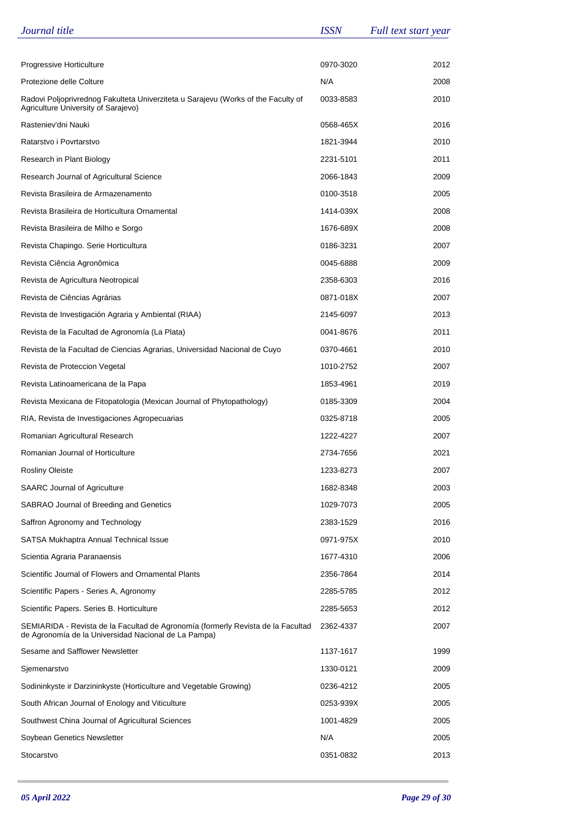| Journal title                                                                                                                            | <i><b>ISSN</b></i> | Full text start year |
|------------------------------------------------------------------------------------------------------------------------------------------|--------------------|----------------------|
|                                                                                                                                          |                    |                      |
| Progressive Horticulture                                                                                                                 | 0970-3020          | 2012                 |
| Protezione delle Colture                                                                                                                 | N/A                | 2008                 |
| Radovi Poljoprivrednog Fakulteta Univerziteta u Sarajevu (Works of the Faculty of<br>Agriculture University of Sarajevo)                 | 0033-8583          | 2010                 |
| Rasteniev'dni Nauki                                                                                                                      | 0568-465X          | 2016                 |
| Ratarstvo i Povrtarstvo                                                                                                                  | 1821-3944          | 2010                 |
| Research in Plant Biology                                                                                                                | 2231-5101          | 2011                 |
| Research Journal of Agricultural Science                                                                                                 | 2066-1843          | 2009                 |
| Revista Brasileira de Armazenamento                                                                                                      | 0100-3518          | 2005                 |
| Revista Brasileira de Horticultura Ornamental                                                                                            | 1414-039X          | 2008                 |
| Revista Brasileira de Milho e Sorgo                                                                                                      | 1676-689X          | 2008                 |
| Revista Chapingo. Serie Horticultura                                                                                                     | 0186-3231          | 2007                 |
| Revista Ciência Agronômica                                                                                                               | 0045-6888          | 2009                 |
| Revista de Agricultura Neotropical                                                                                                       | 2358-6303          | 2016                 |
| Revista de Ciências Agrárias                                                                                                             | 0871-018X          | 2007                 |
| Revista de Investigación Agraria y Ambiental (RIAA)                                                                                      | 2145-6097          | 2013                 |
| Revista de la Facultad de Agronomía (La Plata)                                                                                           | 0041-8676          | 2011                 |
| Revista de la Facultad de Ciencias Agrarias, Universidad Nacional de Cuyo                                                                | 0370-4661          | 2010                 |
| Revista de Proteccion Vegetal                                                                                                            | 1010-2752          | 2007                 |
| Revista Latinoamericana de la Papa                                                                                                       | 1853-4961          | 2019                 |
| Revista Mexicana de Fitopatologia (Mexican Journal of Phytopathology)                                                                    | 0185-3309          | 2004                 |
| RIA, Revista de Investigaciones Agropecuarias                                                                                            | 0325-8718          | 2005                 |
| Romanian Agricultural Research                                                                                                           | 1222-4227          | 2007                 |
| Romanian Journal of Horticulture                                                                                                         | 2734-7656          | 2021                 |
| <b>Rosliny Oleiste</b>                                                                                                                   | 1233-8273          | 2007                 |
| <b>SAARC Journal of Agriculture</b>                                                                                                      | 1682-8348          | 2003                 |
| SABRAO Journal of Breeding and Genetics                                                                                                  | 1029-7073          | 2005                 |
| Saffron Agronomy and Technology                                                                                                          | 2383-1529          | 2016                 |
| SATSA Mukhaptra Annual Technical Issue                                                                                                   | 0971-975X          | 2010                 |
| Scientia Agraria Paranaensis                                                                                                             | 1677-4310          | 2006                 |
| Scientific Journal of Flowers and Ornamental Plants                                                                                      | 2356-7864          | 2014                 |
| Scientific Papers - Series A, Agronomy                                                                                                   | 2285-5785          | 2012                 |
| Scientific Papers. Series B. Horticulture                                                                                                | 2285-5653          | 2012                 |
| SEMIARIDA - Revista de la Facultad de Agronomía (formerly Revista de la Facultad<br>de Agronomía de la Universidad Nacional de La Pampa) | 2362-4337          | 2007                 |
| Sesame and Safflower Newsletter                                                                                                          | 1137-1617          | 1999                 |
| Sjemenarstvo                                                                                                                             | 1330-0121          | 2009                 |
| Sodininkyste ir Darzininkyste (Horticulture and Vegetable Growing)                                                                       | 0236-4212          | 2005                 |
| South African Journal of Enology and Viticulture                                                                                         | 0253-939X          | 2005                 |
| Southwest China Journal of Agricultural Sciences                                                                                         | 1001-4829          | 2005                 |
| Soybean Genetics Newsletter                                                                                                              | N/A                | 2005                 |
| Stocarstvo                                                                                                                               | 0351-0832          | 2013                 |